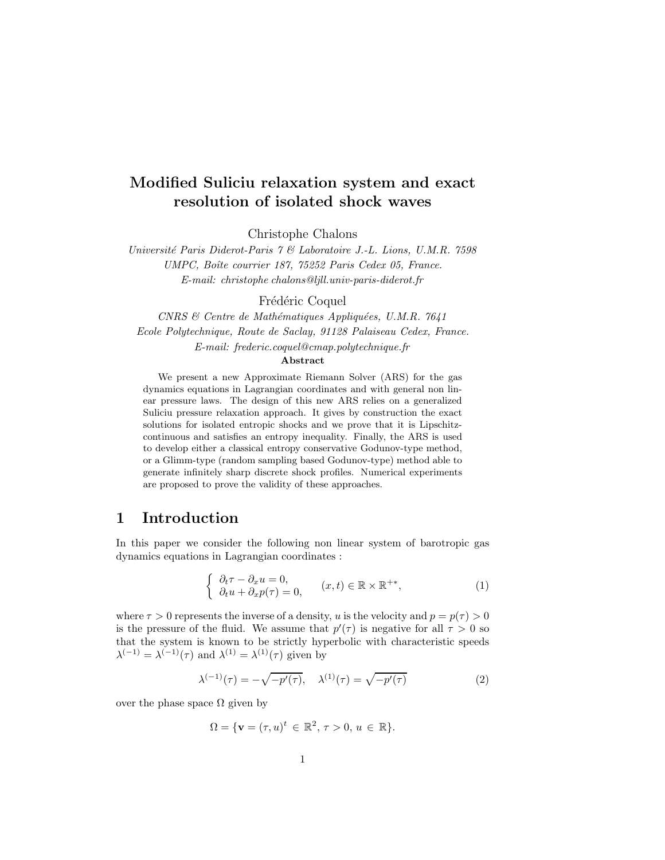# Modified Suliciu relaxation system and exact resolution of isolated shock waves

Christophe Chalons

*Universit´e Paris Diderot-Paris 7 & Laboratoire J.-L. Lions, U.M.R. 7598 UMPC, Boˆıte courrier 187, 75252 Paris Cedex 05, France. E-mail: christophe chalons@ljll.univ-paris-diderot.fr*

Frédéric Coquel

*CNRS & Centre de Mathématiques Appliquées, U.M.R. 7641 Ecole Polytechnique, Route de Saclay, 91128 Palaiseau Cedex, France. E-mail: frederic.coquel@cmap.polytechnique.fr*

#### Abstract

We present a new Approximate Riemann Solver (ARS) for the gas dynamics equations in Lagrangian coordinates and with general non linear pressure laws. The design of this new ARS relies on a generalized Suliciu pressure relaxation approach. It gives by construction the exact solutions for isolated entropic shocks and we prove that it is Lipschitzcontinuous and satisfies an entropy inequality. Finally, the ARS is used to develop either a classical entropy conservative Godunov-type method, or a Glimm-type (random sampling based Godunov-type) method able to generate infinitely sharp discrete shock profiles. Numerical experiments are proposed to prove the validity of these approaches.

## 1 Introduction

In this paper we consider the following non linear system of barotropic gas dynamics equations in Lagrangian coordinates :

$$
\begin{cases} \n\partial_t \tau - \partial_x u = 0, \\
\partial_t u + \partial_x p(\tau) = 0, \n\end{cases} \quad (x, t) \in \mathbb{R} \times \mathbb{R}^{+*}, \quad (1)
$$

<span id="page-0-0"></span>where  $\tau > 0$  represents the inverse of a density, u is the velocity and  $p = p(\tau) > 0$ is the pressure of the fluid. We assume that  $p'(\tau)$  is negative for all  $\tau > 0$  so that the system is known to be strictly hyperbolic with characteristic speeds  $\lambda^{(-1)} = \lambda^{(-1)}(\tau)$  and  $\lambda^{(1)} = \lambda^{(1)}(\tau)$  given by

$$
\lambda^{(-1)}(\tau) = -\sqrt{-p'(\tau)}, \quad \lambda^{(1)}(\tau) = \sqrt{-p'(\tau)}
$$
 (2)

<span id="page-0-1"></span>over the phase space  $\Omega$  given by

$$
\Omega = \{ \mathbf{v} = (\tau, u)^t \in \mathbb{R}^2, \, \tau > 0, \, u \in \mathbb{R} \}.
$$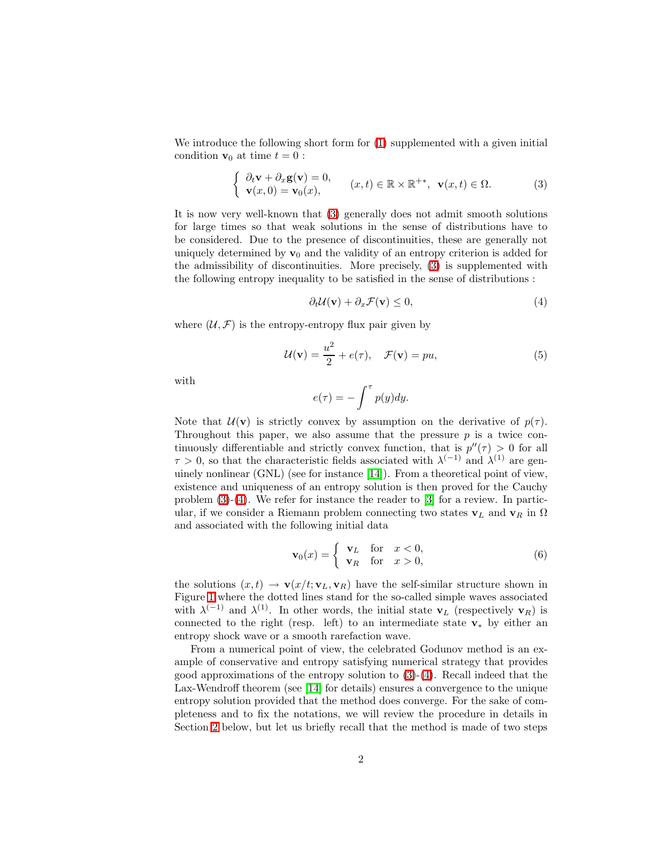We introduce the following short form for [\(1\)](#page-0-0) supplemented with a given initial condition  $\mathbf{v}_0$  at time  $t = 0$ :

$$
\begin{cases} \n\partial_t \mathbf{v} + \partial_x \mathbf{g}(\mathbf{v}) = 0, \\
\mathbf{v}(x,0) = \mathbf{v}_0(x),\n\end{cases} \quad (x,t) \in \mathbb{R} \times \mathbb{R}^{+*}, \ \mathbf{v}(x,t) \in \Omega. \tag{3}
$$

<span id="page-1-0"></span>It is now very well-known that [\(3\)](#page-1-0) generally does not admit smooth solutions for large times so that weak solutions in the sense of distributions have to be considered. Due to the presence of discontinuities, these are generally not uniquely determined by  $\mathbf{v}_0$  and the validity of an entropy criterion is added for the admissibility of discontinuities. More precisely, [\(3\)](#page-1-0) is supplemented with the following entropy inequality to be satisfied in the sense of distributions :

$$
\partial_t \mathcal{U}(\mathbf{v}) + \partial_x \mathcal{F}(\mathbf{v}) \le 0,\tag{4}
$$

<span id="page-1-1"></span>where  $(\mathcal{U}, \mathcal{F})$  is the entropy-entropy flux pair given by

$$
\mathcal{U}(\mathbf{v}) = \frac{u^2}{2} + e(\tau), \quad \mathcal{F}(\mathbf{v}) = pu,
$$
\n(5)

<span id="page-1-3"></span>with

$$
e(\tau) = -\int^{\tau} p(y) dy.
$$

Note that  $U(\mathbf{v})$  is strictly convex by assumption on the derivative of  $p(\tau)$ . Throughout this paper, we also assume that the pressure  $p$  is a twice continuously differentiable and strictly convex function, that is  $p''(\tau) > 0$  for all  $\tau > 0$ , so that the characteristic fields associated with  $\lambda^{(-1)}$  and  $\lambda^{(1)}$  are genuinely nonlinear (GNL) (see for instance [\[14\]](#page-33-0)). From a theoretical point of view, existence and uniqueness of an entropy solution is then proved for the Cauchy problem [\(3\)](#page-1-0)-[\(4\)](#page-1-1). We refer for instance the reader to [\[3\]](#page-32-0) for a review. In particular, if we consider a Riemann problem connecting two states  $v_L$  and  $v_R$  in  $\Omega$ and associated with the following initial data

$$
\mathbf{v}_0(x) = \begin{cases} \mathbf{v}_L & \text{for } x < 0, \\ \mathbf{v}_R & \text{for } x > 0, \end{cases} \tag{6}
$$

<span id="page-1-2"></span>the solutions  $(x, t) \rightarrow \mathbf{v}(x/t; \mathbf{v}_L, \mathbf{v}_R)$  have the self-similar structure shown in Figure [1](#page-2-0) where the dotted lines stand for the so-called simple waves associated with  $\lambda^{(-1)}$  and  $\lambda^{(1)}$ . In other words, the initial state  $v_L$  (respectively  $v_R$ ) is connected to the right (resp. left) to an intermediate state  $v_*$  by either an entropy shock wave or a smooth rarefaction wave.

From a numerical point of view, the celebrated Godunov method is an example of conservative and entropy satisfying numerical strategy that provides good approximations of the entropy solution to [\(3\)](#page-1-0)-[\(4\)](#page-1-1). Recall indeed that the Lax-Wendroff theorem (see [\[14\]](#page-33-0) for details) ensures a convergence to the unique entropy solution provided that the method does converge. For the sake of completeness and to fix the notations, we will review the procedure in details in Section [2](#page-3-0) below, but let us briefly recall that the method is made of two steps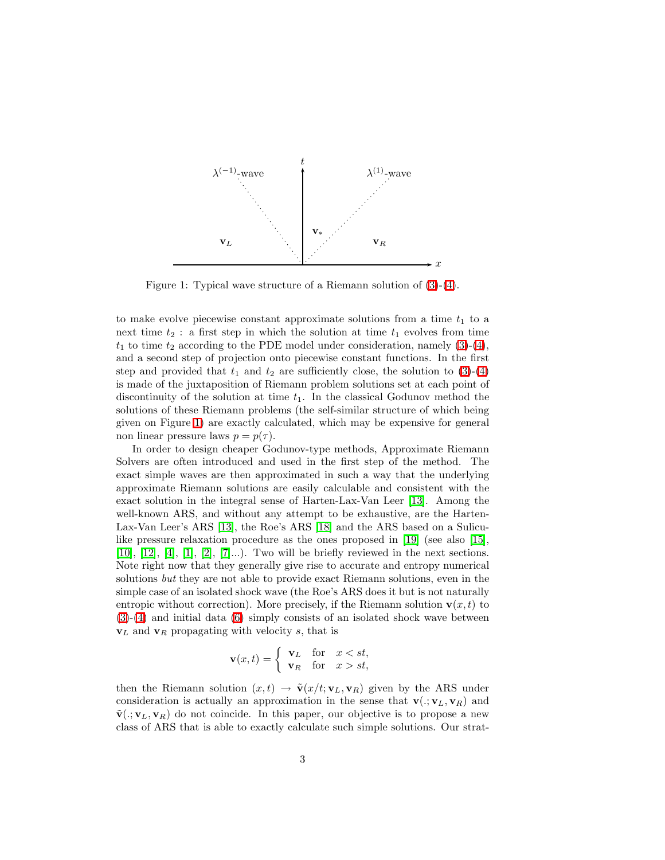

Figure 1: Typical wave structure of a Riemann solution of [\(3\)](#page-1-0)-[\(4\)](#page-1-1).

<span id="page-2-0"></span>to make evolve piecewise constant approximate solutions from a time  $t_1$  to a next time  $t_2$ : a first step in which the solution at time  $t_1$  evolves from time  $t_1$  to time  $t_2$  according to the PDE model under consideration, namely [\(3\)](#page-1-0)-[\(4\)](#page-1-1), and a second step of projection onto piecewise constant functions. In the first step and provided that  $t_1$  and  $t_2$  are sufficiently close, the solution to [\(3\)](#page-1-0)-[\(4\)](#page-1-1) is made of the juxtaposition of Riemann problem solutions set at each point of discontinuity of the solution at time  $t_1$ . In the classical Godunov method the solutions of these Riemann problems (the self-similar structure of which being given on Figure [1\)](#page-2-0) are exactly calculated, which may be expensive for general non linear pressure laws  $p = p(\tau)$ .

In order to design cheaper Godunov-type methods, Approximate Riemann Solvers are often introduced and used in the first step of the method. The exact simple waves are then approximated in such a way that the underlying approximate Riemann solutions are easily calculable and consistent with the exact solution in the integral sense of Harten-Lax-Van Leer [\[13\]](#page-33-1). Among the well-known ARS, and without any attempt to be exhaustive, are the Harten-Lax-Van Leer's ARS [\[13\]](#page-33-1), the Roe's ARS [\[18\]](#page-33-2) and the ARS based on a Suliculike pressure relaxation procedure as the ones proposed in [\[19\]](#page-33-3) (see also [\[15\]](#page-33-4), [\[10\]](#page-32-1), [\[12\]](#page-32-2), [\[4\]](#page-32-3), [\[1\]](#page-32-4), [\[2\]](#page-32-5), [\[7\]](#page-32-6)...). Two will be briefly reviewed in the next sections. Note right now that they generally give rise to accurate and entropy numerical solutions *but* they are not able to provide exact Riemann solutions, even in the simple case of an isolated shock wave (the Roe's ARS does it but is not naturally entropic without correction). More precisely, if the Riemann solution  $\mathbf{v}(x, t)$  to [\(3\)](#page-1-0)-[\(4\)](#page-1-1) and initial data [\(6\)](#page-1-2) simply consists of an isolated shock wave between  $v<sub>L</sub>$  and  $v<sub>R</sub>$  propagating with velocity s, that is

$$
\mathbf{v}(x,t) = \begin{cases} \mathbf{v}_L & \text{for } x < st, \\ \mathbf{v}_R & \text{for } x > st, \end{cases}
$$

then the Riemann solution  $(x, t) \rightarrow \tilde{\mathbf{v}}(x/t; \mathbf{v}_L, \mathbf{v}_R)$  given by the ARS under consideration is actually an approximation in the sense that  $\mathbf{v}(:,\mathbf{v}_L, \mathbf{v}_R)$  and  $\tilde{\mathbf{v}}(:, \mathbf{v}_L, \mathbf{v}_R)$  do not coincide. In this paper, our objective is to propose a new class of ARS that is able to exactly calculate such simple solutions. Our strat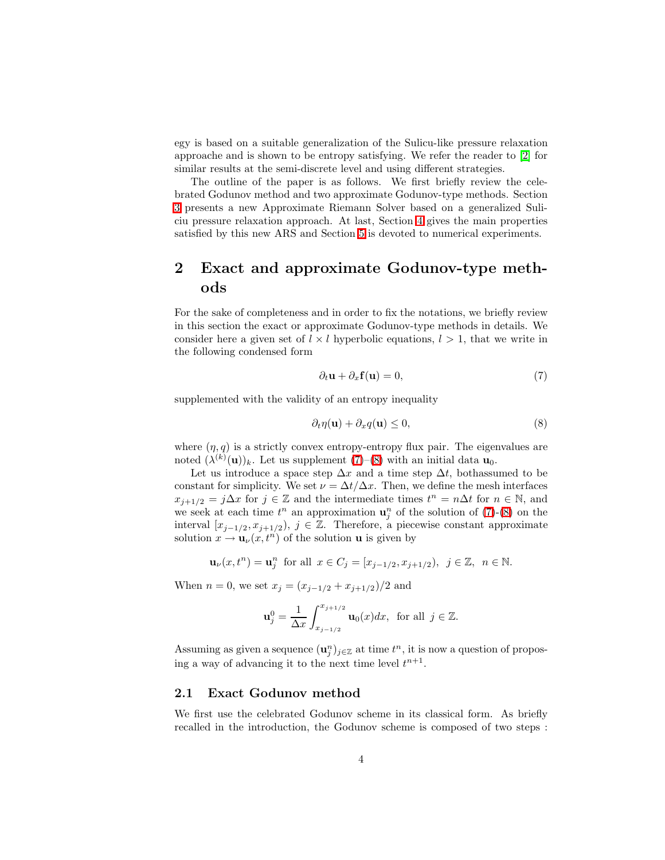egy is based on a suitable generalization of the Sulicu-like pressure relaxation approache and is shown to be entropy satisfying. We refer the reader to [\[2\]](#page-32-5) for similar results at the semi-discrete level and using different strategies.

The outline of the paper is as follows. We first briefly review the celebrated Godunov method and two approximate Godunov-type methods. Section [3](#page-10-0) presents a new Approximate Riemann Solver based on a generalized Suliciu pressure relaxation approach. At last, Section [4](#page-19-0) gives the main properties satisfied by this new ARS and Section [5](#page-29-0) is devoted to numerical experiments.

# <span id="page-3-0"></span>2 Exact and approximate Godunov-type methods

For the sake of completeness and in order to fix the notations, we briefly review in this section the exact or approximate Godunov-type methods in details. We consider here a given set of  $l \times l$  hyperbolic equations,  $l > 1$ , that we write in the following condensed form

$$
\partial_t \mathbf{u} + \partial_x \mathbf{f}(\mathbf{u}) = 0,\tag{7}
$$

<span id="page-3-2"></span><span id="page-3-1"></span>supplemented with the validity of an entropy inequality

$$
\partial_t \eta(\mathbf{u}) + \partial_x q(\mathbf{u}) \le 0,\tag{8}
$$

where  $(\eta, q)$  is a strictly convex entropy-entropy flux pair. The eigenvalues are noted  $(\lambda^{(k)}(\mathbf{u}))_k$ . Let us supplement [\(7\)](#page-3-1)–[\(8\)](#page-3-2) with an initial data  $\mathbf{u}_0$ .

Let us introduce a space step  $\Delta x$  and a time step  $\Delta t$ , bothassumed to be constant for simplicity. We set  $\nu = \Delta t / \Delta x$ . Then, we define the mesh interfaces  $x_{j+1/2} = j\Delta x$  for  $j \in \mathbb{Z}$  and the intermediate times  $t^n = n\Delta t$  for  $n \in \mathbb{N}$ , and we seek at each time  $t^n$  an approximation  $\mathbf{u}_j^n$  of the solution of [\(7\)](#page-3-1)-[\(8\)](#page-3-2) on the interval  $[x_{j-1/2}, x_{j+1/2}], j \in \mathbb{Z}$ . Therefore, a piecewise constant approximate solution  $x \to \mathbf{u}_{\nu}(x, t^n)$  of the solution **u** is given by

$$
\mathbf{u}_{\nu}(x,t^n) = \mathbf{u}_{j}^n \text{ for all } x \in C_j = [x_{j-1/2}, x_{j+1/2}), \ j \in \mathbb{Z}, \ n \in \mathbb{N}.
$$

When  $n = 0$ , we set  $x_j = (x_{j-1/2} + x_{j+1/2})/2$  and

$$
\mathbf{u}_j^0 = \frac{1}{\Delta x} \int_{x_{j-1/2}}^{x_{j+1/2}} \mathbf{u}_0(x) dx, \text{ for all } j \in \mathbb{Z}.
$$

Assuming as given a sequence  $(\mathbf{u}_j^n)_{j\in\mathbb{Z}}$  at time  $t^n$ , it is now a question of proposing a way of advancing it to the next time level  $t^{n+1}$ .

### 2.1 Exact Godunov method

We first use the celebrated Godunov scheme in its classical form. As briefly recalled in the introduction, the Godunov scheme is composed of two steps :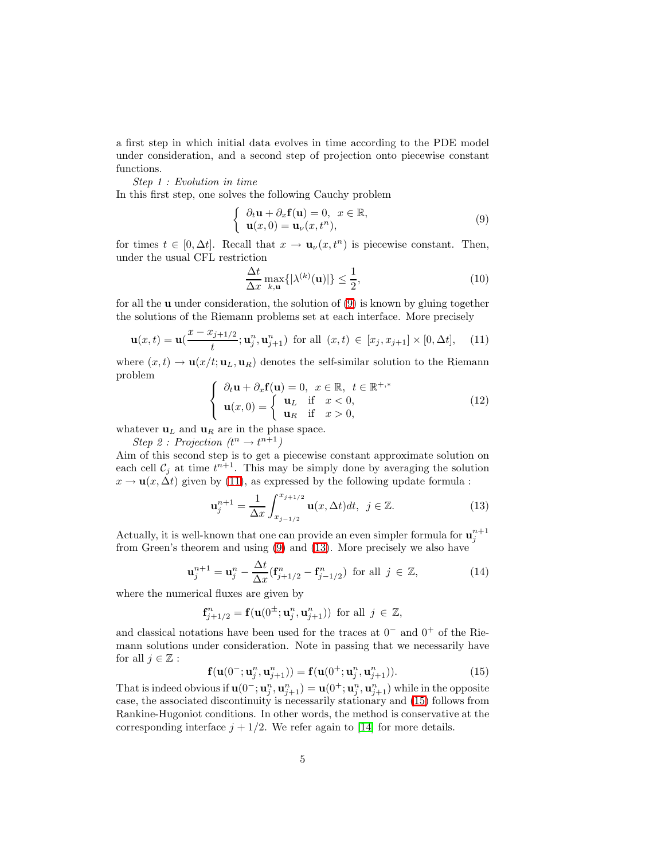a first step in which initial data evolves in time according to the PDE model under consideration, and a second step of projection onto piecewise constant functions.

<span id="page-4-0"></span>*Step 1 : Evolution in time*

In this first step, one solves the following Cauchy problem

$$
\begin{cases} \partial_t \mathbf{u} + \partial_x \mathbf{f}(\mathbf{u}) = 0, \ x \in \mathbb{R}, \\ \mathbf{u}(x, 0) = \mathbf{u}_\nu(x, t^n), \end{cases}
$$
 (9)

for times  $t \in [0, \Delta t]$ . Recall that  $x \to \mathbf{u}_{\nu}(x, t^n)$  is piecewise constant. Then, under the usual CFL restriction

$$
\frac{\Delta t}{\Delta x} \max_{k, \mathbf{u}} \{ |\lambda^{(k)}(\mathbf{u})| \} \le \frac{1}{2},\tag{10}
$$

for all the **u** under consideration, the solution of  $(9)$  is known by gluing together the solutions of the Riemann problems set at each interface. More precisely

$$
\mathbf{u}(x,t) = \mathbf{u}(\frac{x - x_{j+1/2}}{t}; \mathbf{u}_j^n, \mathbf{u}_{j+1}^n) \text{ for all } (x,t) \in [x_j, x_{j+1}] \times [0, \Delta t], \quad (11)
$$

<span id="page-4-1"></span>where  $(x, t) \to \mathbf{u}(x/t; \mathbf{u}_L, \mathbf{u}_R)$  denotes the self-similar solution to the Riemann problem

$$
\begin{cases}\n\partial_t \mathbf{u} + \partial_x \mathbf{f}(\mathbf{u}) = 0, \quad x \in \mathbb{R}, \quad t \in \mathbb{R}^{+,*} \\
\mathbf{u}(x,0) = \begin{cases}\n\mathbf{u}_L & \text{if } x < 0, \\
\mathbf{u}_R & \text{if } x > 0,\n\end{cases}\n\end{cases}
$$
\n(12)

<span id="page-4-4"></span>whatever  $\mathbf{u}_L$  and  $\mathbf{u}_R$  are in the phase space.

 $Step 2: Projection (t<sup>n</sup> \rightarrow t<sup>n+1</sup>)$ 

Aim of this second step is to get a piecewise constant approximate solution on each cell  $C_j$  at time  $t^{n+1}$ . This may be simply done by averaging the solution  $x \to \mathbf{u}(x, \Delta t)$  given by [\(11\)](#page-4-1), as expressed by the following update formula :

$$
\mathbf{u}_{j}^{n+1} = \frac{1}{\Delta x} \int_{x_{j-1/2}}^{x_{j+1/2}} \mathbf{u}(x, \Delta t) dt, \ \ j \in \mathbb{Z}.
$$
 (13)

<span id="page-4-2"></span>Actually, it is well-known that one can provide an even simpler formula for  $\mathbf{u}_j^{n+1}$ from Green's theorem and using [\(9\)](#page-4-0) and [\(13\)](#page-4-2). More precisely we also have

$$
\mathbf{u}_{j}^{n+1} = \mathbf{u}_{j}^{n} - \frac{\Delta t}{\Delta x} (\mathbf{f}_{j+1/2}^{n} - \mathbf{f}_{j-1/2}^{n}) \text{ for all } j \in \mathbb{Z},
$$
 (14)

where the numerical fluxes are given by

$$
\mathbf{f}_{j+1/2}^n = \mathbf{f}(\mathbf{u}(0^{\pm}; \mathbf{u}_j^n, \mathbf{u}_{j+1}^n)) \text{ for all } j \in \mathbb{Z},
$$

and classical notations have been used for the traces at  $0^-$  and  $0^+$  of the Riemann solutions under consideration. Note in passing that we necessarily have for all  $j \in \mathbb{Z}$ :

$$
\mathbf{f}(\mathbf{u}(0^-; \mathbf{u}_j^n, \mathbf{u}_{j+1}^n)) = \mathbf{f}(\mathbf{u}(0^+; \mathbf{u}_j^n, \mathbf{u}_{j+1}^n)).
$$
\n(15)

<span id="page-4-3"></span>That is indeed obvious if  $\mathbf{u}(0^-; \mathbf{u}_j^n, \mathbf{u}_{j+1}^n) = \mathbf{u}(0^+; \mathbf{u}_j^n, \mathbf{u}_{j+1}^n)$  while in the opposite case, the associated discontinuity is necessarily stationary and [\(15\)](#page-4-3) follows from Rankine-Hugoniot conditions. In other words, the method is conservative at the corresponding interface  $j + 1/2$ . We refer again to [\[14\]](#page-33-0) for more details.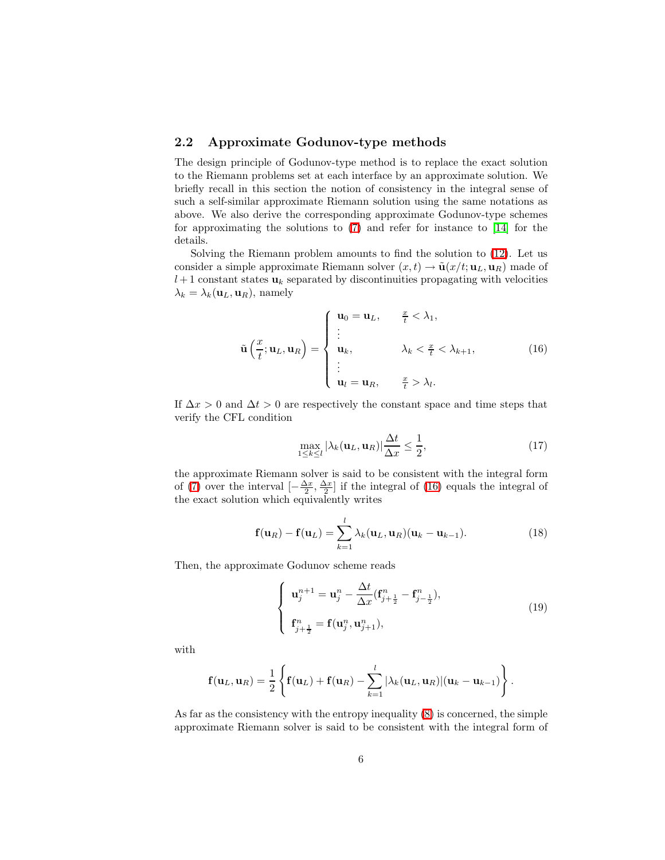### <span id="page-5-4"></span>2.2 Approximate Godunov-type methods

The design principle of Godunov-type method is to replace the exact solution to the Riemann problems set at each interface by an approximate solution. We briefly recall in this section the notion of consistency in the integral sense of such a self-similar approximate Riemann solution using the same notations as above. We also derive the corresponding approximate Godunov-type schemes for approximating the solutions to [\(7\)](#page-3-1) and refer for instance to [\[14\]](#page-33-0) for the details.

Solving the Riemann problem amounts to find the solution to [\(12\)](#page-4-4). Let us consider a simple approximate Riemann solver  $(x, t) \to \tilde{\mathbf{u}}(x/t; \mathbf{u}_L, \mathbf{u}_R)$  made of  $l+1$  constant states  $\mathbf{u}_k$  separated by discontinuities propagating with velocities  $\lambda_k = \lambda_k(\mathbf{u}_L, \mathbf{u}_R)$ , namely

$$
\tilde{\mathbf{u}}\left(\frac{x}{t};\mathbf{u}_L,\mathbf{u}_R\right) = \begin{cases} \mathbf{u}_0 = \mathbf{u}_L, & \frac{x}{t} < \lambda_1, \\ \vdots & \\ \mathbf{u}_k, & \lambda_k < \frac{x}{t} < \lambda_{k+1}, \\ \vdots & \\ \mathbf{u}_l = \mathbf{u}_R, & \frac{x}{t} > \lambda_l. \end{cases}
$$
(16)

<span id="page-5-0"></span>If  $\Delta x > 0$  and  $\Delta t > 0$  are respectively the constant space and time steps that verify the CFL condition

$$
\max_{1 \le k \le l} |\lambda_k(\mathbf{u}_L, \mathbf{u}_R)| \frac{\Delta t}{\Delta x} \le \frac{1}{2},\tag{17}
$$

<span id="page-5-1"></span>the approximate Riemann solver is said to be consistent with the integral form of [\(7\)](#page-3-1) over the interval  $\left[-\frac{\Delta x}{2}, \frac{\Delta x}{2}\right]$  if the integral of [\(16\)](#page-5-0) equals the integral of the exact solution which equivalently writes

$$
\mathbf{f}(\mathbf{u}_R) - \mathbf{f}(\mathbf{u}_L) = \sum_{k=1}^l \lambda_k(\mathbf{u}_L, \mathbf{u}_R)(\mathbf{u}_k - \mathbf{u}_{k-1}).
$$
\n(18)

<span id="page-5-3"></span><span id="page-5-2"></span>Then, the approximate Godunov scheme reads

$$
\begin{cases}\n\mathbf{u}_{j}^{n+1} = \mathbf{u}_{j}^{n} - \frac{\Delta t}{\Delta x} (\mathbf{f}_{j+\frac{1}{2}}^{n} - \mathbf{f}_{j-\frac{1}{2}}^{n}), \\
\mathbf{f}_{j+\frac{1}{2}}^{n} = \mathbf{f}(\mathbf{u}_{j}^{n}, \mathbf{u}_{j+1}^{n}),\n\end{cases}
$$
\n(19)

with

$$
\mathbf{f}(\mathbf{u}_L,\mathbf{u}_R)=\frac{1}{2}\left\{\mathbf{f}(\mathbf{u}_L)+\mathbf{f}(\mathbf{u}_R)-\sum_{k=1}^l|\lambda_k(\mathbf{u}_L,\mathbf{u}_R)|(\mathbf{u}_k-\mathbf{u}_{k-1})\right\}.
$$

As far as the consistency with the entropy inequality [\(8\)](#page-3-2) is concerned, the simple approximate Riemann solver is said to be consistent with the integral form of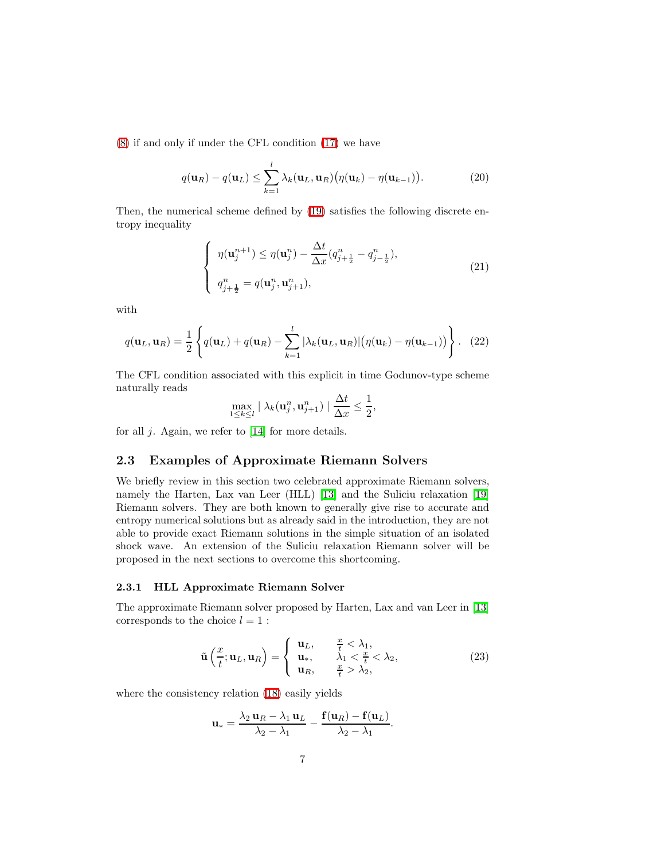<span id="page-6-0"></span>[\(8\)](#page-3-2) if and only if under the CFL condition [\(17\)](#page-5-1) we have

$$
q(\mathbf{u}_R) - q(\mathbf{u}_L) \le \sum_{k=1}^l \lambda_k(\mathbf{u}_L, \mathbf{u}_R) \big(\eta(\mathbf{u}_k) - \eta(\mathbf{u}_{k-1})\big).
$$
 (20)

Then, the numerical scheme defined by [\(19\)](#page-5-2) satisfies the following discrete entropy inequality

$$
\begin{cases}\n\eta(\mathbf{u}_{j}^{n+1}) \leq \eta(\mathbf{u}_{j}^{n}) - \frac{\Delta t}{\Delta x} (q_{j+\frac{1}{2}}^{n} - q_{j-\frac{1}{2}}^{n}), \\
q_{j+\frac{1}{2}}^{n} = q(\mathbf{u}_{j}^{n}, \mathbf{u}_{j+1}^{n}),\n\end{cases} (21)
$$

with

$$
q(\mathbf{u}_L, \mathbf{u}_R) = \frac{1}{2} \left\{ q(\mathbf{u}_L) + q(\mathbf{u}_R) - \sum_{k=1}^l |\lambda_k(\mathbf{u}_L, \mathbf{u}_R)| \big( \eta(\mathbf{u}_k) - \eta(\mathbf{u}_{k-1}) \big) \right\}.
$$
 (22)

The CFL condition associated with this explicit in time Godunov-type scheme naturally reads

$$
\max_{1 \leq k \leq l} | \lambda_k(\mathbf{u}_j^n, \mathbf{u}_{j+1}^n) | \frac{\Delta t}{\Delta x} \leq \frac{1}{2},
$$

for all  $j$ . Again, we refer to  $[14]$  for more details.

### 2.3 Examples of Approximate Riemann Solvers

We briefly review in this section two celebrated approximate Riemann solvers, namely the Harten, Lax van Leer (HLL) [\[13\]](#page-33-1) and the Suliciu relaxation [\[19\]](#page-33-3) Riemann solvers. They are both known to generally give rise to accurate and entropy numerical solutions but as already said in the introduction, they are not able to provide exact Riemann solutions in the simple situation of an isolated shock wave. An extension of the Suliciu relaxation Riemann solver will be proposed in the next sections to overcome this shortcoming.

#### 2.3.1 HLL Approximate Riemann Solver

The approximate Riemann solver proposed by Harten, Lax and van Leer in [\[13\]](#page-33-1) corresponds to the choice  $l = 1$ :

$$
\tilde{\mathbf{u}}\left(\frac{x}{t};\mathbf{u}_L,\mathbf{u}_R\right) = \begin{cases} \mathbf{u}_L, & \frac{x}{t} < \lambda_1, \\ \mathbf{u}_*, & \lambda_1 < \frac{x}{t} < \lambda_2, \\ \mathbf{u}_R, & \frac{x}{t} > \lambda_2, \end{cases}
$$
(23)

where the consistency relation [\(18\)](#page-5-3) easily yields

$$
\mathbf{u}_{*} = \frac{\lambda_2 \mathbf{u}_R - \lambda_1 \mathbf{u}_L}{\lambda_2 - \lambda_1} - \frac{\mathbf{f}(\mathbf{u}_R) - \mathbf{f}(\mathbf{u}_L)}{\lambda_2 - \lambda_1}.
$$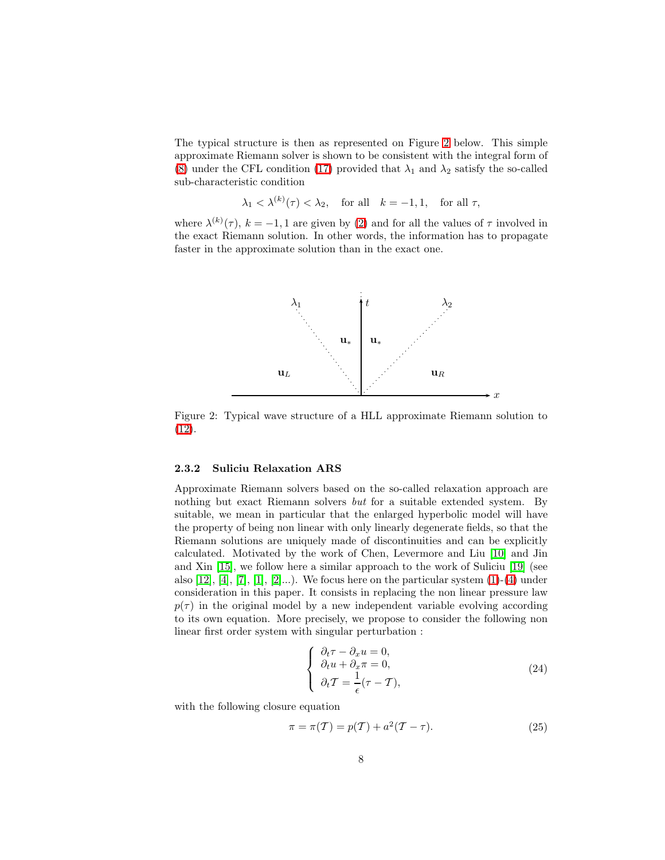The typical structure is then as represented on Figure [2](#page-7-0) below. This simple approximate Riemann solver is shown to be consistent with the integral form of [\(8\)](#page-3-2) under the CFL condition [\(17\)](#page-5-1) provided that  $\lambda_1$  and  $\lambda_2$  satisfy the so-called sub-characteristic condition

$$
\lambda_1 < \lambda^{(k)}(\tau) < \lambda_2, \quad \text{for all} \quad k = -1, 1, \quad \text{for all } \tau,
$$

where  $\lambda^{(k)}(\tau)$ ,  $k = -1, 1$  are given by [\(2\)](#page-0-1) and for all the values of  $\tau$  involved in the exact Riemann solution. In other words, the information has to propagate faster in the approximate solution than in the exact one.



<span id="page-7-0"></span>Figure 2: Typical wave structure of a HLL approximate Riemann solution to [\(12\)](#page-4-4).

#### <span id="page-7-2"></span>2.3.2 Suliciu Relaxation ARS

Approximate Riemann solvers based on the so-called relaxation approach are nothing but exact Riemann solvers *but* for a suitable extended system. By suitable, we mean in particular that the enlarged hyperbolic model will have the property of being non linear with only linearly degenerate fields, so that the Riemann solutions are uniquely made of discontinuities and can be explicitly calculated. Motivated by the work of Chen, Levermore and Liu [\[10\]](#page-32-1) and Jin and Xin [\[15\]](#page-33-4), we follow here a similar approach to the work of Suliciu [\[19\]](#page-33-3) (see also  $[12]$ ,  $[4]$ ,  $[7]$ ,  $[1]$ ,  $[2]$ ...). We focus here on the particular system  $(1)-(4)$  $(1)-(4)$  under consideration in this paper. It consists in replacing the non linear pressure law  $p(\tau)$  in the original model by a new independent variable evolving according to its own equation. More precisely, we propose to consider the following non linear first order system with singular perturbation :

$$
\begin{cases}\n\partial_t \tau - \partial_x u = 0, \\
\partial_t u + \partial_x \pi = 0, \\
\partial_t T = \frac{1}{\epsilon} (\tau - T),\n\end{cases}
$$
\n(24)

<span id="page-7-1"></span>with the following closure equation

$$
\pi = \pi(\mathcal{T}) = p(\mathcal{T}) + a^2(\mathcal{T} - \tau).
$$
 (25)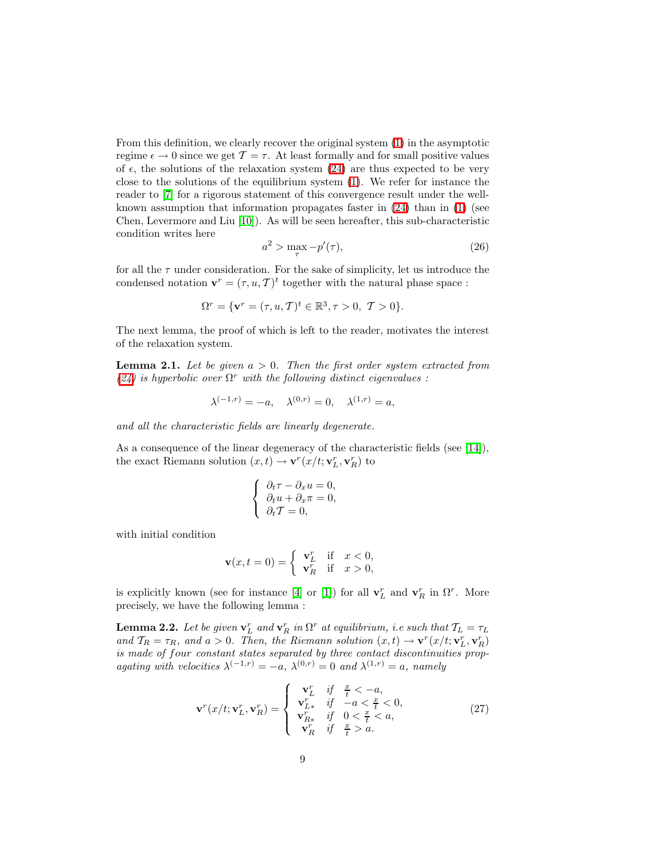From this definition, we clearly recover the original system [\(1\)](#page-0-0) in the asymptotic regime  $\epsilon \to 0$  since we get  $\mathcal{T} = \tau$ . At least formally and for small positive values of  $\epsilon$ , the solutions of the relaxation system [\(24\)](#page-7-1) are thus expected to be very close to the solutions of the equilibrium system [\(1\)](#page-0-0). We refer for instance the reader to [\[7\]](#page-32-6) for a rigorous statement of this convergence result under the wellknown assumption that information propagates faster in [\(24\)](#page-7-1) than in [\(1\)](#page-0-0) (see Chen, Levermore and Liu [\[10\]](#page-32-1)). As will be seen hereafter, this sub-characteristic condition writes here

$$
a^2 > \max_{\tau} -p'(\tau),\tag{26}
$$

for all the  $\tau$  under consideration. For the sake of simplicity, let us introduce the condensed notation  $\mathbf{v}^r = (\tau, u, \mathcal{T})^t$  together with the natural phase space:

<span id="page-8-0"></span>
$$
\Omega^r = \{ \mathbf{v}^r = (\tau, u, T)^t \in \mathbb{R}^3, \tau > 0, T > 0 \}.
$$

The next lemma, the proof of which is left to the reader, motivates the interest of the relaxation system.

Lemma 2.1. *Let be given* a > 0*. Then the first order system extracted from*  $(24)$  *is hyperbolic over*  $\Omega^r$  *with the following distinct eigenvalues :* 

$$
\lambda^{(-1,r)} = -a, \quad \lambda^{(0,r)} = 0, \quad \lambda^{(1,r)} = a,
$$

*and all the characteristic fields are linearly degenerate.*

As a consequence of the linear degeneracy of the characteristic fields (see [\[14\]](#page-33-0)), the exact Riemann solution  $(x,t) \rightarrow \mathbf{v}^r(x/t; \mathbf{v}_L^r, \mathbf{v}_R^r)$  to

$$
\begin{cases}\n\partial_t \tau - \partial_x u = 0, \\
\partial_t u + \partial_x \pi = 0, \\
\partial_t T = 0,\n\end{cases}
$$

with initial condition

$$
\mathbf{v}(x,t=0) = \begin{cases} \mathbf{v}_L^r & \text{if } x < 0, \\ \mathbf{v}_R^r & \text{if } x > 0, \end{cases}
$$

is explicitly known (see for instance [\[4\]](#page-32-3) or [\[1\]](#page-32-4)) for all  $\mathbf{v}_L^r$  and  $\mathbf{v}_R^r$  in  $\Omega^r$ . More precisely, we have the following lemma :

**Lemma 2.2.** Let be given  $\mathbf{v}_L^r$  and  $\mathbf{v}_R^r$  in  $\Omega^r$  at equilibrium, i.e such that  $\mathcal{T}_L = \tau_L$ and  $T_R = \tau_R$ , and  $a > 0$ . Then, the Riemann solution  $(x, t) \rightarrow \mathbf{v}^r(x/t; \mathbf{v}_L^r, \mathbf{v}_R^r)$ *is made of* four *constant states separated by three contact discontinuities propagating with velocities*  $\lambda^{(-1,r)} = -a$ ,  $\lambda^{(0,r)} = 0$  *and*  $\lambda^{(1,r)} = a$ , *namely* 

$$
\mathbf{v}^r(x/t; \mathbf{v}_L^r, \mathbf{v}_R^r) = \begin{cases} \n\mathbf{v}_L^r & \text{if } \frac{x}{t} < -a, \\
\mathbf{v}_L^r & \text{if } -a < \frac{x}{t} < 0, \\
\mathbf{v}_R^r & \text{if } 0 < \frac{x}{t} < a, \\
\mathbf{v}_R^r & \text{if } \frac{x}{t} > a.\n\end{cases} \tag{27}
$$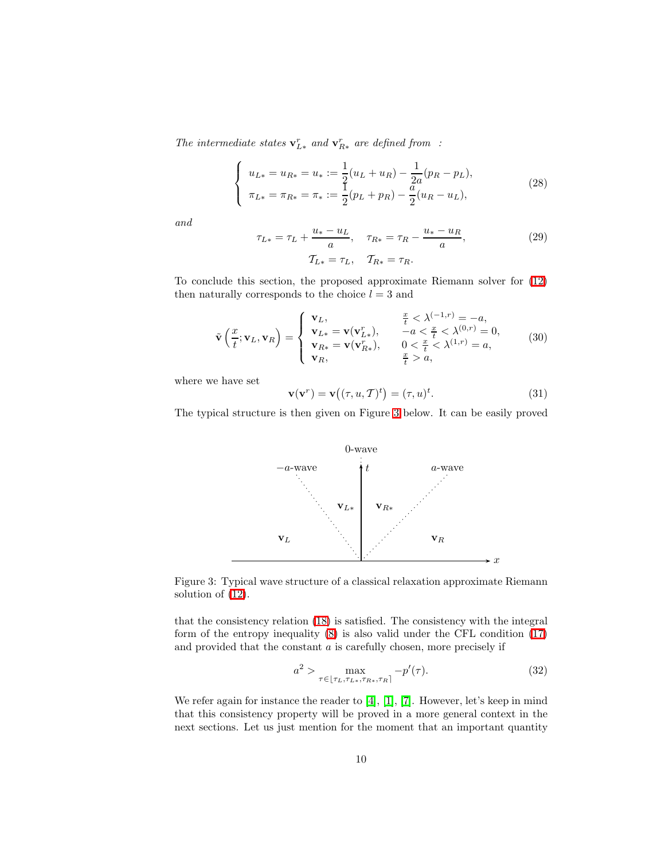*The intermediate states*  $\mathbf{v}_{L*}^r$  *and*  $\mathbf{v}_{R*}^r$  *are defined from* :

$$
\begin{cases}\nu_{L*} = u_{R*} = u_* := \frac{1}{2}(u_L + u_R) - \frac{1}{2a}(p_R - p_L), \\
\pi_{L*} = \pi_{R*} = \pi_* := \frac{1}{2}(p_L + p_R) - \frac{a}{2}(u_R - u_L),\n\end{cases}
$$
\n(28)

<span id="page-9-2"></span>*and*

$$
\tau_{L*} = \tau_L + \frac{u_* - u_L}{a}, \quad \tau_{R*} = \tau_R - \frac{u_* - u_R}{a},
$$
  

$$
\tau_{L*} = \tau_L, \quad \tau_{R*} = \tau_R.
$$
 (29)

To conclude this section, the proposed approximate Riemann solver for [\(12\)](#page-4-4) then naturally corresponds to the choice  $l = 3$  and

$$
\tilde{\mathbf{v}}\left(\frac{x}{t};\mathbf{v}_L,\mathbf{v}_R\right) = \begin{cases} \mathbf{v}_L, & \frac{x}{t} < \lambda^{(-1,r)} = -a, \\ \mathbf{v}_{L*} = \mathbf{v}(\mathbf{v}_{L*}^r), & -a < \frac{x}{t} < \lambda^{(0,r)} = 0, \\ \mathbf{v}_{R*} = \mathbf{v}(\mathbf{v}_{R*}^r), & 0 < \frac{x}{t} < \lambda^{(1,r)} = a, \\ \mathbf{v}_R, & \frac{x}{t} > a, \end{cases}
$$
(30)

<span id="page-9-1"></span>where we have set

$$
\mathbf{v}(\mathbf{v}^r) = \mathbf{v}((\tau, u, T)^t) = (\tau, u)^t.
$$
 (31)

The typical structure is then given on Figure [3](#page-9-0) below. It can be easily proved



<span id="page-9-0"></span>Figure 3: Typical wave structure of a classical relaxation approximate Riemann solution of [\(12\)](#page-4-4).

that the consistency relation [\(18\)](#page-5-3) is satisfied. The consistency with the integral form of the entropy inequality [\(8\)](#page-3-2) is also valid under the CFL condition [\(17\)](#page-5-1) and provided that the constant  $a$  is carefully chosen, more precisely if

$$
a^2 > \max_{\tau \in [\tau_L, \tau_{L\ast}, \tau_R, \tau_R]} -p'(\tau). \tag{32}
$$

<span id="page-9-3"></span>We refer again for instance the reader to [\[4\]](#page-32-3), [\[1\]](#page-32-4), [\[7\]](#page-32-6). However, let's keep in mind that this consistency property will be proved in a more general context in the next sections. Let us just mention for the moment that an important quantity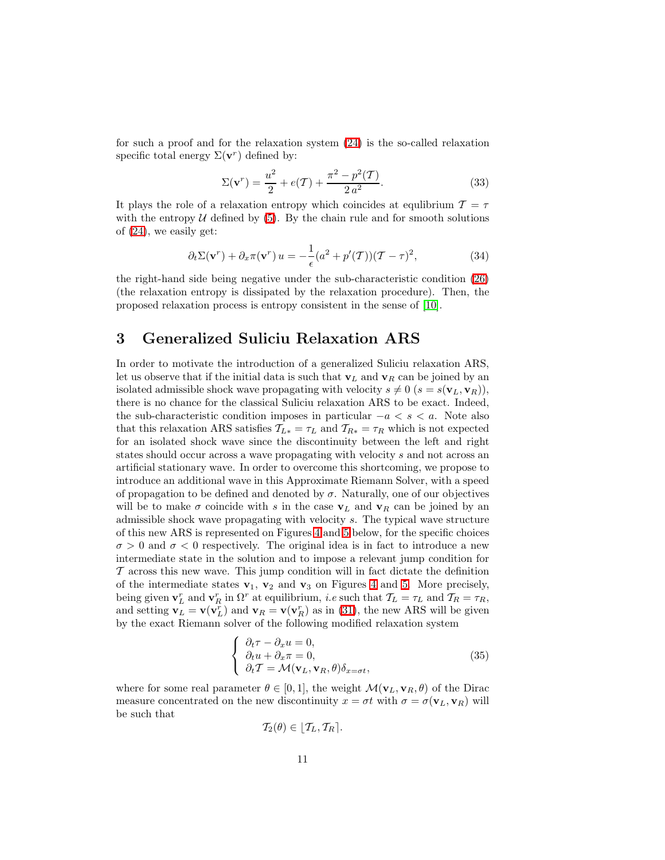for such a proof and for the relaxation system [\(24\)](#page-7-1) is the so-called relaxation specific total energy  $\Sigma(\mathbf{v}^r)$  defined by:

$$
\Sigma(\mathbf{v}^r) = \frac{u^2}{2} + e(\mathcal{T}) + \frac{\pi^2 - p^2(\mathcal{T})}{2 a^2}.
$$
 (33)

It plays the role of a relaxation entropy which coincides at equlibrium  $\mathcal{T} = \tau$ with the entropy  $U$  defined by [\(5\)](#page-1-3). By the chain rule and for smooth solutions of [\(24\)](#page-7-1), we easily get:

$$
\partial_t \Sigma(\mathbf{v}^r) + \partial_x \pi(\mathbf{v}^r) u = -\frac{1}{\epsilon} (a^2 + p'(T)) (T - \tau)^2, \tag{34}
$$

the right-hand side being negative under the sub-characteristic condition [\(26\)](#page-8-0) (the relaxation entropy is dissipated by the relaxation procedure). Then, the proposed relaxation process is entropy consistent in the sense of [\[10\]](#page-32-1).

## <span id="page-10-0"></span>3 Generalized Suliciu Relaxation ARS

In order to motivate the introduction of a generalized Suliciu relaxation ARS, let us observe that if the initial data is such that  $v_L$  and  $v_R$  can be joined by an isolated admissible shock wave propagating with velocity  $s \neq 0$   $(s = s(\mathbf{v}_L, \mathbf{v}_R)),$ there is no chance for the classical Suliciu relaxation ARS to be exact. Indeed, the sub-characteristic condition imposes in particular  $-a < s < a$ . Note also that this relaxation ARS satisfies  $\mathcal{T}_{L*} = \tau_L$  and  $\mathcal{T}_{R*} = \tau_R$  which is not expected for an isolated shock wave since the discontinuity between the left and right states should occur across a wave propagating with velocity s and not across an artificial stationary wave. In order to overcome this shortcoming, we propose to introduce an additional wave in this Approximate Riemann Solver, with a speed of propagation to be defined and denoted by  $\sigma$ . Naturally, one of our objectives will be to make  $\sigma$  coincide with s in the case  $v_L$  and  $v_R$  can be joined by an admissible shock wave propagating with velocity s. The typical wave structure of this new ARS is represented on Figures [4](#page-12-0) and [5](#page-15-0) below, for the specific choices  $\sigma > 0$  and  $\sigma < 0$  respectively. The original idea is in fact to introduce a new intermediate state in the solution and to impose a relevant jump condition for  $\mathcal T$  across this new wave. This jump condition will in fact dictate the definition of the intermediate states  $v_1$ ,  $v_2$  and  $v_3$  on Figures [4](#page-12-0) and [5.](#page-15-0) More precisely, being given  $\mathbf{v}_L^r$  and  $\mathbf{v}_R^r$  in  $\Omega^r$  at equilibrium, *i.e* such that  $\mathcal{T}_L = \tau_L$  and  $\mathcal{T}_R = \tau_R$ , and setting  $\mathbf{v}_L = \mathbf{v}(\mathbf{v}_L^r)$  and  $\mathbf{v}_R = \mathbf{v}(\mathbf{v}_R^r)$  as in [\(31\)](#page-9-1), the new ARS will be given by the exact Riemann solver of the following modified relaxation system

$$
\begin{cases}\n\partial_t \tau - \partial_x u = 0, \\
\partial_t u + \partial_x \pi = 0, \\
\partial_t T = \mathcal{M}(\mathbf{v}_L, \mathbf{v}_R, \theta) \delta_{x = \sigma t},\n\end{cases}
$$
\n(35)

<span id="page-10-1"></span>where for some real parameter  $\theta \in [0, 1]$ , the weight  $\mathcal{M}(\mathbf{v}_L, \mathbf{v}_R, \theta)$  of the Dirac measure concentrated on the new discontinuity  $x = \sigma t$  with  $\sigma = \sigma(\mathbf{v}_L, \mathbf{v}_R)$  will be such that

$$
\mathcal{T}_2(\theta) \in [\mathcal{T}_L, \mathcal{T}_R].
$$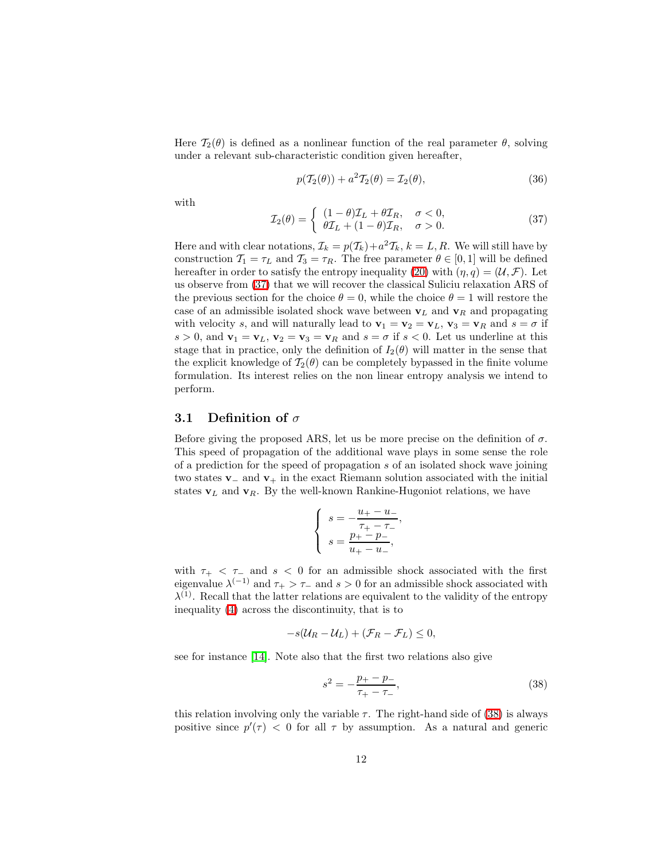Here  $\mathcal{T}_2(\theta)$  is defined as a nonlinear function of the real parameter  $\theta$ , solving under a relevant sub-characteristic condition given hereafter,

$$
p(\mathcal{T}_2(\theta)) + a^2 \mathcal{T}_2(\theta) = \mathcal{I}_2(\theta), \tag{36}
$$

<span id="page-11-2"></span><span id="page-11-0"></span>with

$$
\mathcal{I}_2(\theta) = \begin{cases} (1 - \theta)\mathcal{I}_L + \theta\mathcal{I}_R, & \sigma < 0, \\ \theta\mathcal{I}_L + (1 - \theta)\mathcal{I}_R, & \sigma > 0. \end{cases}
$$
\n(37)

Here and with clear notations,  $\mathcal{I}_k = p(\mathcal{T}_k) + a^2 \mathcal{T}_k$ ,  $k = L, R$ . We will still have by construction  $\mathcal{T}_1 = \tau_L$  and  $\mathcal{T}_3 = \tau_R$ . The free parameter  $\theta \in [0, 1]$  will be defined hereafter in order to satisfy the entropy inequality [\(20\)](#page-6-0) with  $(\eta, q) = (\mathcal{U}, \mathcal{F})$ . Let us observe from [\(37\)](#page-11-0) that we will recover the classical Suliciu relaxation ARS of the previous section for the choice  $\theta = 0$ , while the choice  $\theta = 1$  will restore the case of an admissible isolated shock wave between  $v_L$  and  $v_R$  and propagating with velocity s, and will naturally lead to  $\mathbf{v}_1 = \mathbf{v}_2 = \mathbf{v}_L$ ,  $\mathbf{v}_3 = \mathbf{v}_R$  and  $s = \sigma$  if  $s > 0$ , and  $\mathbf{v}_1 = \mathbf{v}_L$ ,  $\mathbf{v}_2 = \mathbf{v}_3 = \mathbf{v}_R$  and  $s = \sigma$  if  $s < 0$ . Let us underline at this stage that in practice, only the definition of  $I_2(\theta)$  will matter in the sense that the explicit knowledge of  $\mathcal{T}_2(\theta)$  can be completely bypassed in the finite volume formulation. Its interest relies on the non linear entropy analysis we intend to perform.

### <span id="page-11-3"></span>3.1 Definition of  $\sigma$

Before giving the proposed ARS, let us be more precise on the definition of  $\sigma$ . This speed of propagation of the additional wave plays in some sense the role of a prediction for the speed of propagation s of an isolated shock wave joining two states  $\mathbf{v}_-$  and  $\mathbf{v}_+$  in the exact Riemann solution associated with the initial states  $v_L$  and  $v_R$ . By the well-known Rankine-Hugoniot relations, we have

$$
\left\{ \begin{array}{l} s = -\frac{u_+ - u_-}{\tau_+ - \tau_-}, \\ s = \frac{p_+ - p_-}{u_+ - u_-}, \end{array} \right.
$$

with  $\tau_{+}$  <  $\tau_{-}$  and  $s$  < 0 for an admissible shock associated with the first eigenvalue  $\lambda^{(-1)}$  and  $\tau_+ > \tau_-$  and  $s > 0$  for an admissible shock associated with  $\lambda^{(1)}$ . Recall that the latter relations are equivalent to the validity of the entropy inequality [\(4\)](#page-1-1) across the discontinuity, that is to

<span id="page-11-1"></span>
$$
-s(\mathcal{U}_R - \mathcal{U}_L) + (\mathcal{F}_R - \mathcal{F}_L) \leq 0,
$$

see for instance [\[14\]](#page-33-0). Note also that the first two relations also give

$$
s^2 = -\frac{p_+ - p_-}{\tau_+ - \tau_-},\tag{38}
$$

this relation involving only the variable  $\tau$ . The right-hand side of [\(38\)](#page-11-1) is always positive since  $p'(\tau) < 0$  for all  $\tau$  by assumption. As a natural and generic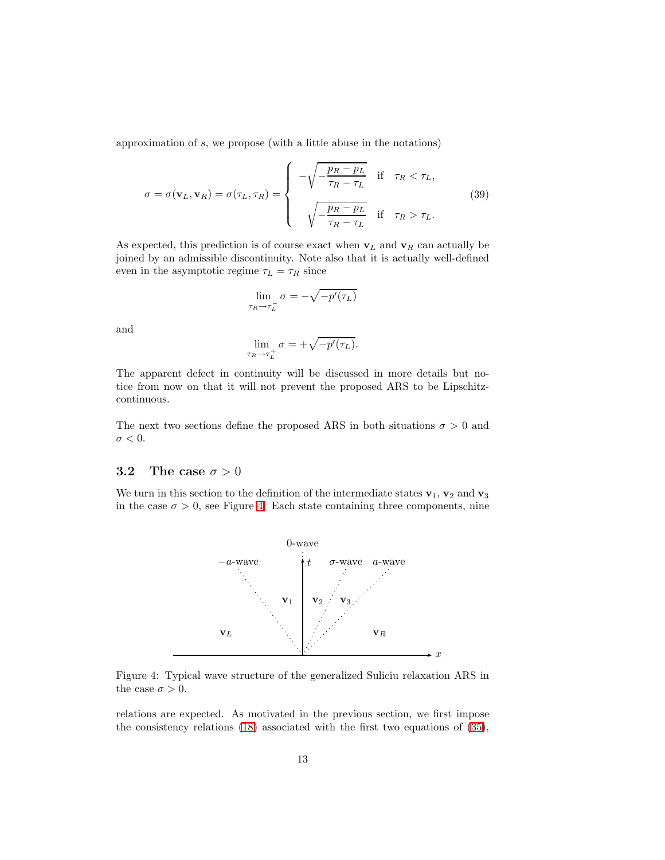<span id="page-12-1"></span>approximation of s, we propose (with a little abuse in the notations)

$$
\sigma = \sigma(\mathbf{v}_L, \mathbf{v}_R) = \sigma(\tau_L, \tau_R) = \begin{cases}\n-\sqrt{-\frac{p_R - p_L}{\tau_R - \tau_L}} & \text{if } \tau_R < \tau_L, \\
\sqrt{-\frac{p_R - p_L}{\tau_R - \tau_L}} & \text{if } \tau_R > \tau_L.\n\end{cases}
$$
\n(39)

As expected, this prediction is of course exact when  $v_L$  and  $v_R$  can actually be joined by an admissible discontinuity. Note also that it is actually well-defined even in the asymptotic regime  $\tau_L = \tau_R$  since

$$
\lim_{\tau_R \to \tau_L^-} \sigma = -\sqrt{-p'(\tau_L)}
$$

and

$$
\lim_{R \to \tau_L^+} \sigma = +\sqrt{-p'(\tau_L)}.
$$

 $\tau$ 

The apparent defect in continuity will be discussed in more details but notice from now on that it will not prevent the proposed ARS to be Lipschitzcontinuous.

The next two sections define the proposed ARS in both situations  $\sigma > 0$  and  $\sigma < 0$ .

### 3.2 The case  $\sigma > 0$

We turn in this section to the definition of the intermediate states  $v_1$ ,  $v_2$  and  $v_3$ in the case  $\sigma > 0$ , see Figure [4.](#page-12-0) Each state containing three components, nine



<span id="page-12-0"></span>Figure 4: Typical wave structure of the generalized Suliciu relaxation ARS in the case  $\sigma > 0$ .

relations are expected. As motivated in the previous section, we first impose the consistency relations [\(18\)](#page-5-3) associated with the first two equations of [\(35\)](#page-10-1),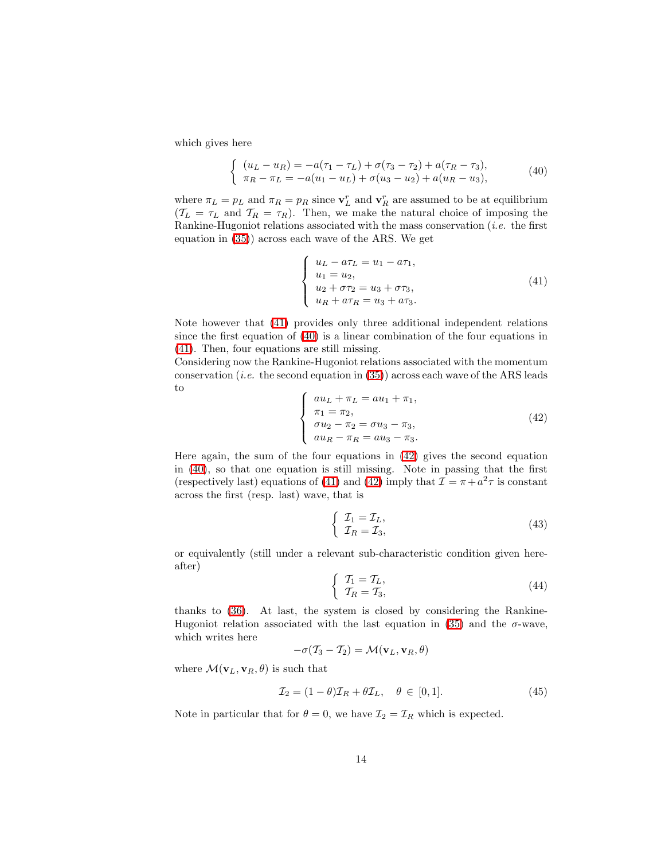<span id="page-13-1"></span>which gives here

$$
\begin{cases}\n(u_L - u_R) = -a(\tau_1 - \tau_L) + \sigma(\tau_3 - \tau_2) + a(\tau_R - \tau_3), \\
\pi_R - \pi_L = -a(u_1 - u_L) + \sigma(u_3 - u_2) + a(u_R - u_3),\n\end{cases} (40)
$$

where  $\pi_L = p_L$  and  $\pi_R = p_R$  since  $\mathbf{v}_L^r$  and  $\mathbf{v}_R^r$  are assumed to be at equilibrium  $(\mathcal{T}_L = \tau_L$  and  $\mathcal{T}_R = \tau_R$ ). Then, we make the natural choice of imposing the Rankine-Hugoniot relations associated with the mass conservation (*i.e.* the first equation in [\(35\)](#page-10-1)) across each wave of the ARS. We get

$$
\begin{cases}\n u_L - a\tau_L = u_1 - a\tau_1, \\
 u_1 = u_2, \\
 u_2 + \sigma\tau_2 = u_3 + \sigma\tau_3, \\
 u_R + a\tau_R = u_3 + a\tau_3.\n\end{cases} (41)
$$

<span id="page-13-0"></span>Note however that [\(41\)](#page-13-0) provides only three additional independent relations since the first equation of [\(40\)](#page-13-1) is a linear combination of the four equations in [\(41\)](#page-13-0). Then, four equations are still missing.

Considering now the Rankine-Hugoniot relations associated with the momentum conservation (*i.e.* the second equation in  $(35)$ ) across each wave of the ARS leads to

$$
\begin{cases}\nau_L + \pi_L = au_1 + \pi_1, \\
\pi_1 = \pi_2, \\
\sigma u_2 - \pi_2 = \sigma u_3 - \pi_3, \\
au_R - \pi_R = au_3 - \pi_3.\n\end{cases}
$$
\n(42)

<span id="page-13-2"></span>Here again, the sum of the four equations in [\(42\)](#page-13-2) gives the second equation in [\(40\)](#page-13-1), so that one equation is still missing. Note in passing that the first (respectively last) equations of [\(41\)](#page-13-0) and [\(42\)](#page-13-2) imply that  $\mathcal{I} = \pi + a^2 \tau$  is constant across the first (resp. last) wave, that is

<span id="page-13-4"></span>
$$
\begin{cases}\n\mathcal{I}_1 = \mathcal{I}_L, \\
\mathcal{I}_R = \mathcal{I}_3,\n\end{cases} (43)
$$

or equivalently (still under a relevant sub-characteristic condition given hereafter)

$$
\begin{cases}\nT_1 = T_L, \\
T_R = T_3,\n\end{cases} (44)
$$

thanks to [\(36\)](#page-11-2). At last, the system is closed by considering the Rankine-Hugoniot relation associated with the last equation in [\(35\)](#page-10-1) and the  $\sigma$ -wave, which writes here

<span id="page-13-5"></span>
$$
-\sigma(\mathcal{T}_3-\mathcal{T}_2)=\mathcal{M}(\mathbf{v}_L,\mathbf{v}_R,\theta)
$$

<span id="page-13-3"></span>where  $\mathcal{M}(\mathbf{v}_L, \mathbf{v}_R, \theta)$  is such that

$$
\mathcal{I}_2 = (1 - \theta)\mathcal{I}_R + \theta\mathcal{I}_L, \quad \theta \in [0, 1]. \tag{45}
$$

Note in particular that for  $\theta = 0$ , we have  $\mathcal{I}_2 = \mathcal{I}_R$  which is expected.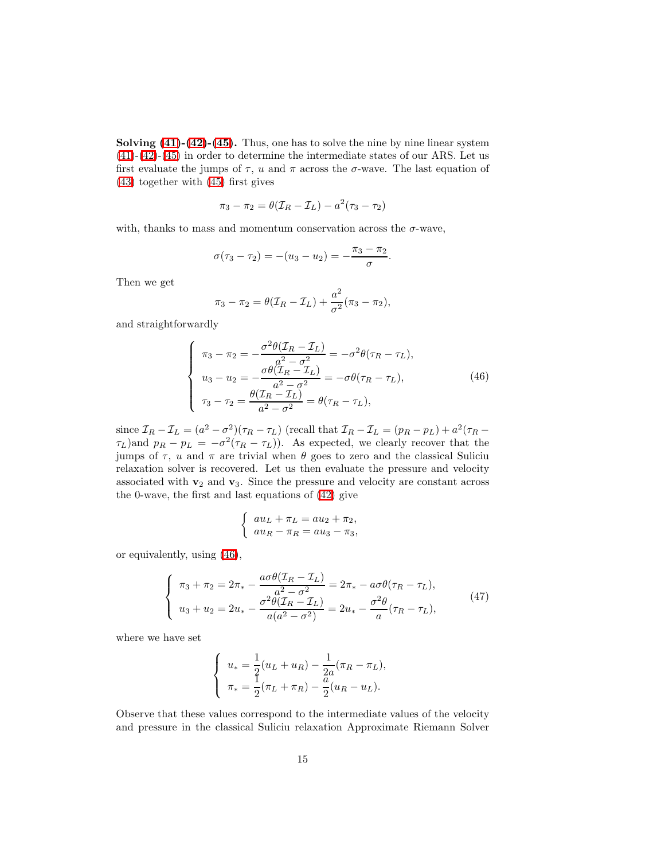Solving [\(41\)](#page-13-0)-[\(42\)](#page-13-2)-[\(45\)](#page-13-3). Thus, one has to solve the nine by nine linear system [\(41\)](#page-13-0)-[\(42\)](#page-13-2)-[\(45\)](#page-13-3) in order to determine the intermediate states of our ARS. Let us first evaluate the jumps of  $\tau$ , u and  $\pi$  across the  $\sigma$ -wave. The last equation of [\(43\)](#page-13-4) together with [\(45\)](#page-13-3) first gives

$$
\pi_3 - \pi_2 = \theta(\mathcal{I}_R - \mathcal{I}_L) - a^2(\tau_3 - \tau_2)
$$

with, thanks to mass and momentum conservation across the  $\sigma$ -wave,

$$
\sigma(\tau_3 - \tau_2) = -(u_3 - u_2) = -\frac{\pi_3 - \pi_2}{\sigma}.
$$

Then we get

$$
\pi_3 - \pi_2 = \theta(\mathcal{I}_R - \mathcal{I}_L) + \frac{a^2}{\sigma^2}(\pi_3 - \pi_2),
$$

<span id="page-14-0"></span>and straightforwardly

$$
\begin{cases}\n\pi_3 - \pi_2 = -\frac{\sigma^2 \theta (T_R - T_L)}{a^2 - \sigma^2} = -\sigma^2 \theta (\tau_R - \tau_L), \\
u_3 - u_2 = -\frac{\sigma \theta (T_R - T_L)}{a^2 - \sigma^2} = -\sigma \theta (\tau_R - \tau_L), \\
\tau_3 - \tau_2 = \frac{\theta (T_R - T_L)}{a^2 - \sigma^2} = \theta (\tau_R - \tau_L),\n\end{cases} (46)
$$

since  $\mathcal{I}_R - \mathcal{I}_L = (a^2 - \sigma^2)(\tau_R - \tau_L)$  (recall that  $\mathcal{I}_R - \mathcal{I}_L = (p_R - p_L) + a^2(\tau_R - \tau_L)$  $(\tau_L)$ and  $p_R - p_L = -\sigma^2(\tau_R - \tau_L)$ . As expected, we clearly recover that the jumps of  $\tau$ , u and  $\pi$  are trivial when  $\theta$  goes to zero and the classical Suliciu relaxation solver is recovered. Let us then evaluate the pressure and velocity associated with  $\mathbf{v}_2$  and  $\mathbf{v}_3$ . Since the pressure and velocity are constant across the 0-wave, the first and last equations of [\(42\)](#page-13-2) give

$$
\begin{cases}\nau_L + \pi_L = au_2 + \pi_2, \\
au_R - \pi_R = au_3 - \pi_3,\n\end{cases}
$$

or equivalently, using [\(46\)](#page-14-0),

$$
\begin{cases}\n\pi_3 + \pi_2 = 2\pi_* - \frac{a\sigma\theta(\mathcal{I}_R - \mathcal{I}_L)}{a^2 - \sigma^2} = 2\pi_* - a\sigma\theta(\tau_R - \tau_L), \\
u_3 + u_2 = 2u_* - \frac{\sigma^2\theta(\mathcal{I}_R - \mathcal{I}_L)}{a(a^2 - \sigma^2)} = 2u_* - \frac{\sigma^2\theta}{a}(\tau_R - \tau_L),\n\end{cases} (47)
$$

<span id="page-14-1"></span>where we have set

$$
\begin{cases}\n u_* = \frac{1}{2}(u_L + u_R) - \frac{1}{2a}(\pi_R - \pi_L), \\
 \pi_* = \frac{1}{2}(\pi_L + \pi_R) - \frac{a}{2}(u_R - u_L).\n\end{cases}
$$

Observe that these values correspond to the intermediate values of the velocity and pressure in the classical Suliciu relaxation Approximate Riemann Solver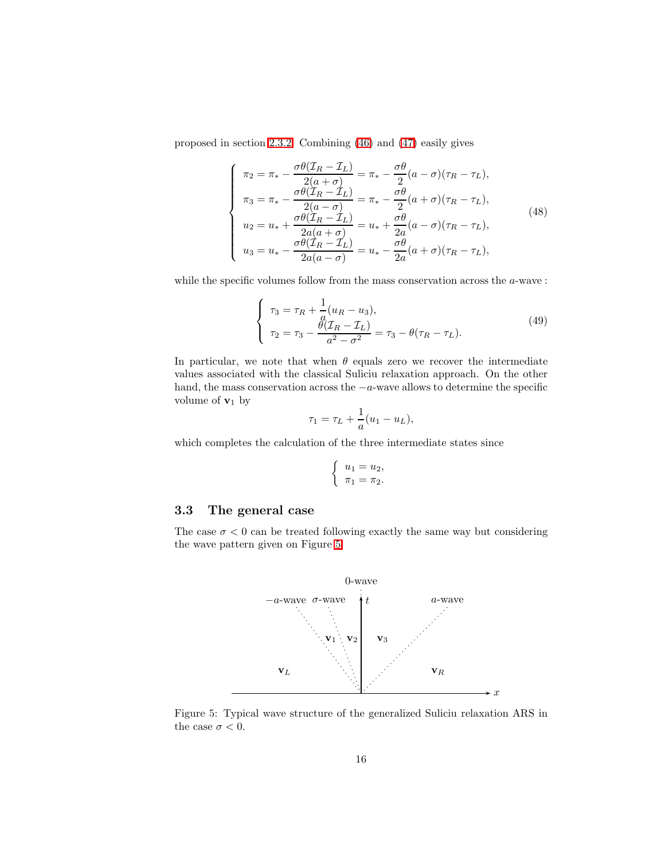proposed in section [2.3.2.](#page-7-2) Combining [\(46\)](#page-14-0) and [\(47\)](#page-14-1) easily gives

$$
\begin{cases}\n\pi_2 = \pi_* - \frac{\sigma \theta(\mathcal{I}_R - \mathcal{I}_L)}{2(a + \sigma)} = \pi_* - \frac{\sigma \theta}{2}(a - \sigma)(\tau_R - \tau_L), \\
\pi_3 = \pi_* - \frac{\sigma \theta(\mathcal{I}_R - \mathcal{I}_L)}{2(a - \sigma)} = \pi_* - \frac{\sigma \theta}{2}(a + \sigma)(\tau_R - \tau_L), \\
u_2 = u_* + \frac{\sigma \theta(\mathcal{I}_R - \mathcal{I}_L)}{2a(a + \sigma)} = u_* + \frac{\sigma \theta}{2a}(a - \sigma)(\tau_R - \tau_L), \\
u_3 = u_* - \frac{\sigma \theta(\mathcal{I}_R - \mathcal{I}_L)}{2a(a - \sigma)} = u_* - \frac{\sigma \theta}{2a}(a + \sigma)(\tau_R - \tau_L),\n\end{cases} (48)
$$

while the specific volumes follow from the mass conservation across the  $a$ -wave :

$$
\begin{cases}\n\tau_3 = \tau_R + \frac{1}{a}(u_R - u_3), \\
\tau_2 = \tau_3 - \frac{\theta(\mathcal{I}_R - \mathcal{I}_L)}{a^2 - \sigma^2} = \tau_3 - \theta(\tau_R - \tau_L).\n\end{cases} (49)
$$

In particular, we note that when  $\theta$  equals zero we recover the intermediate values associated with the classical Suliciu relaxation approach. On the other hand, the mass conservation across the −a-wave allows to determine the specific volume of  $v_1$  by

$$
\tau_1 = \tau_L + \frac{1}{a}(u_1 - u_L),
$$

which completes the calculation of the three intermediate states since

$$
\begin{cases} u_1 = u_2, \\ \pi_1 = \pi_2. \end{cases}
$$

### 3.3 The general case

The case  $\sigma < 0$  can be treated following exactly the same way but considering the wave pattern given on Figure [5.](#page-15-0)



<span id="page-15-0"></span>Figure 5: Typical wave structure of the generalized Suliciu relaxation ARS in the case  $\sigma < 0$ .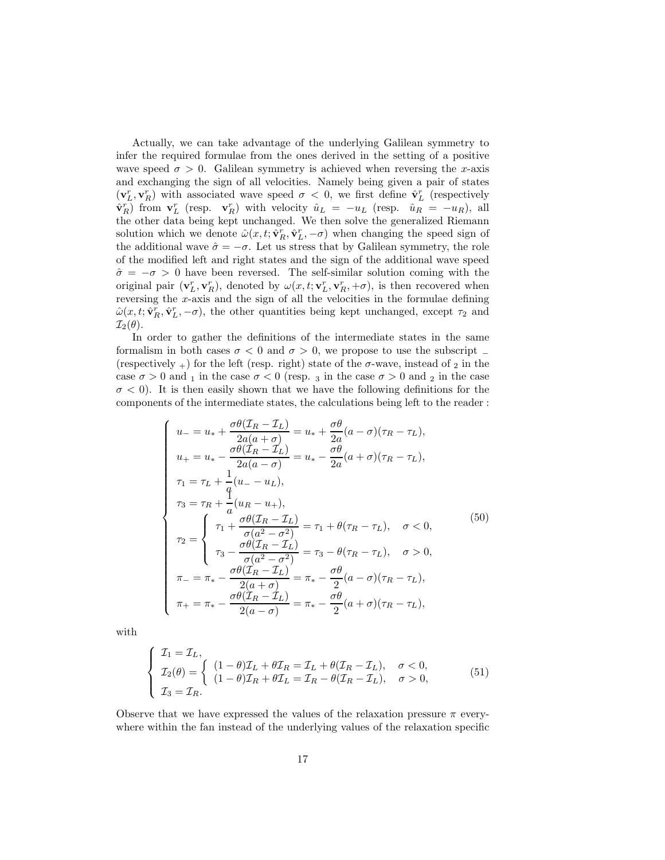Actually, we can take advantage of the underlying Galilean symmetry to infer the required formulae from the ones derived in the setting of a positive wave speed  $\sigma > 0$ . Galilean symmetry is achieved when reversing the x-axis and exchanging the sign of all velocities. Namely being given a pair of states  $(\mathbf{v}_L^r, \mathbf{v}_R^r)$  with associated wave speed  $\sigma < 0$ , we first define  $\hat{\mathbf{v}}_L^r$  (respectively  $\hat{\mathbf{v}}_R^r$ ) from  $\mathbf{v}_L^r$  (resp.  $\mathbf{v}_R^r$ ) with velocity  $\hat{u}_L = -u_L$  (resp.  $\hat{u}_R = -u_R$ ), all the other data being kept unchanged. We then solve the generalized Riemann solution which we denote  $\hat{\omega}(x, t; \hat{\mathbf{v}}_R^r, \hat{\mathbf{v}}_L^r, -\sigma)$  when changing the speed sign of the additional wave  $\hat{\sigma} = -\sigma$ . Let us stress that by Galilean symmetry, the role of the modified left and right states and the sign of the additional wave speed  $\hat{\sigma} = -\sigma > 0$  have been reversed. The self-similar solution coming with the original pair  $(\mathbf{v}_L^r, \mathbf{v}_R^r)$ , denoted by  $\omega(x, t; \mathbf{v}_L^r, \mathbf{v}_R^r, +\sigma)$ , is then recovered when reversing the x-axis and the sign of all the velocities in the formulae defining  $\hat{\omega}(x, t; \hat{\mathbf{v}}_R^r, \hat{\mathbf{v}}_L^r, -\sigma)$ , the other quantities being kept unchanged, except  $\tau_2$  and  $\mathcal{I}_2(\theta)$ .

In order to gather the definitions of the intermediate states in the same formalism in both cases  $\sigma$  < 0 and  $\sigma$  > 0, we propose to use the subscript  $\bot$ (respectively  $_{+}$ ) for the left (resp. right) state of the  $\sigma$ -wave, instead of  $_{2}$  in the case  $\sigma > 0$  and <sub>1</sub> in the case  $\sigma < 0$  (resp. <sub>3</sub> in the case  $\sigma > 0$  and <sub>2</sub> in the case  $\sigma$  < 0). It is then easily shown that we have the following definitions for the components of the intermediate states, the calculations being left to the reader :

$$
\begin{cases}\nu_{-} = u_{*} + \frac{\sigma \theta (T_{R} - T_{L})}{2a(a + \sigma)} = u_{*} + \frac{\sigma \theta}{2a}(a - \sigma)(\tau_{R} - \tau_{L}),\nu_{+} = u_{*} - \frac{\sigma \theta (T_{R} - T_{L})}{2a(a - \sigma)} = u_{*} - \frac{\sigma \theta}{2a}(a + \sigma)(\tau_{R} - \tau_{L}),\tau_{1} = \tau_{L} + \frac{1}{q}(u_{-} - u_{L}),\tau_{3} = \tau_{R} + \frac{1}{q}(u_{R} - u_{+}),\tau_{2} = \begin{cases}\tau_{1} + \frac{\sigma \theta (T_{R} - T_{L})}{\sigma(a^{2} - \sigma^{2})} = \tau_{1} + \theta(\tau_{R} - \tau_{L}), & \sigma < 0,\tau_{3} - \frac{\sigma \theta (T_{R} - T_{L})}{\sigma(a^{2} - \sigma^{2})} = \tau_{3} - \theta(\tau_{R} - \tau_{L}), & \sigma > 0,\tau_{-} = \pi_{*} - \frac{\sigma \theta (T_{R} - T_{L})}{2(a + \sigma)} = \pi_{*} - \frac{\sigma \theta}{2}(a - \sigma)(\tau_{R} - \tau_{L}),\tau_{+} = \pi_{*} - \frac{\sigma \theta (T_{R} - T_{L})}{2(a - \sigma)} = \pi_{*} - \frac{\sigma \theta}{2}(a + \sigma)(\tau_{R} - \tau_{L}),\end{cases}
$$
\n(50)

<span id="page-16-1"></span><span id="page-16-0"></span>with

$$
\begin{cases}\n\mathcal{I}_1 = \mathcal{I}_L, \\
\mathcal{I}_2(\theta) = \begin{cases}\n(1 - \theta)\mathcal{I}_L + \theta\mathcal{I}_R = \mathcal{I}_L + \theta(\mathcal{I}_R - \mathcal{I}_L), & \sigma < 0, \\
(1 - \theta)\mathcal{I}_R + \theta\mathcal{I}_L = \mathcal{I}_R - \theta(\mathcal{I}_R - \mathcal{I}_L), & \sigma > 0,\n\end{cases}\n\tag{51}
$$
\n
$$
\mathcal{I}_3 = \mathcal{I}_R.
$$

Observe that we have expressed the values of the relaxation pressure  $\pi$  everywhere within the fan instead of the underlying values of the relaxation specific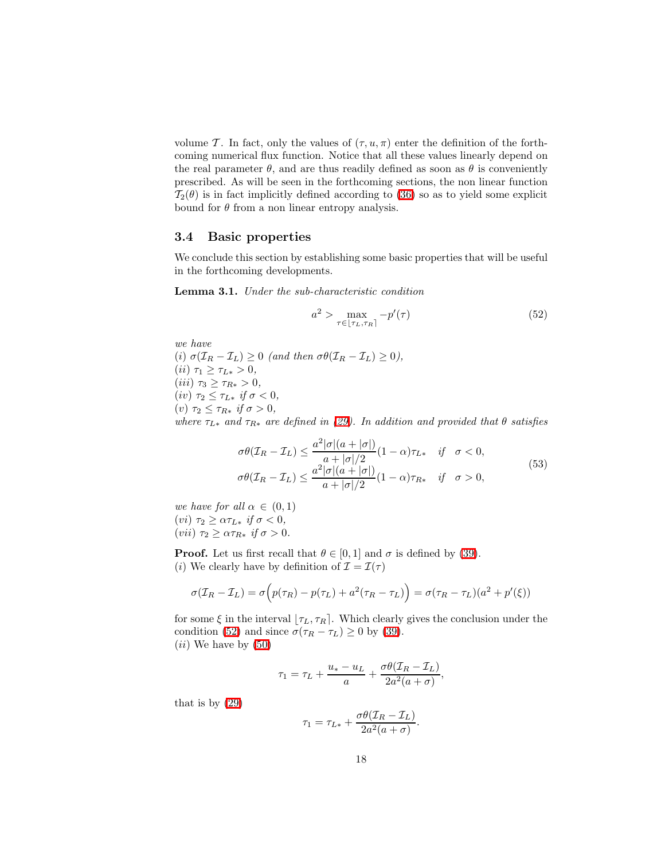volume T. In fact, only the values of  $(\tau, u, \pi)$  enter the definition of the forthcoming numerical flux function. Notice that all these values linearly depend on the real parameter  $\theta$ , and are thus readily defined as soon as  $\theta$  is conveniently prescribed. As will be seen in the forthcoming sections, the non linear function  $\mathcal{T}_2(\theta)$  is in fact implicitly defined according to [\(36\)](#page-11-2) so as to yield some explicit bound for  $\theta$  from a non linear entropy analysis.

### 3.4 Basic properties

<span id="page-17-1"></span>We conclude this section by establishing some basic properties that will be useful in the forthcoming developments.

<span id="page-17-0"></span>Lemma 3.1. *Under the sub-characteristic condition*

$$
a^2 > \max_{\tau \in [\tau_L, \tau_R]} -p'(\tau) \tag{52}
$$

*we have* (i)  $\sigma(\mathcal{I}_R - \mathcal{I}_L) \geq 0$  (and then  $\sigma\theta(\mathcal{I}_R - \mathcal{I}_L) \geq 0$ ), (*ii*)  $\tau_1 \geq \tau_{L*} > 0$ , (*iii*)  $\tau_3 \geq \tau_{R*} > 0$ ,  $(iv) \tau_2 \leq \tau_{L*}$  *if*  $\sigma < 0$ *,*  $(v)$   $\tau_2 \leq \tau_{R*}$  *if*  $\sigma > 0$ *, where*  $\tau_{L*}$  *and*  $\tau_{R*}$  *are defined in* [\(29\)](#page-9-2)*. In addition and provided that*  $\theta$  *satisfies* 

$$
\sigma\theta(\mathcal{I}_R - \mathcal{I}_L) \le \frac{a^2 |\sigma| (a + |\sigma|)}{a + |\sigma|/2} (1 - \alpha) \tau_{L*} \quad \text{if} \quad \sigma < 0,
$$
\n
$$
\sigma\theta(\mathcal{I}_R - \mathcal{I}_L) \le \frac{a^2 |\sigma| (a + |\sigma|)}{a + |\sigma|/2} (1 - \alpha) \tau_{R*} \quad \text{if} \quad \sigma > 0,
$$
\n
$$
(53)
$$

<span id="page-17-2"></span>*we have for all*  $\alpha \in (0,1)$ (*vi*)  $\tau_2 \geq \alpha \tau_{L*}$  *if*  $\sigma < 0$ *,* (*vii*)  $\tau_2 \geq \alpha \tau_{R*}$  *if*  $\sigma > 0$ .

**Proof.** Let us first recall that  $\theta \in [0, 1]$  and  $\sigma$  is defined by [\(39\)](#page-12-1). (i) We clearly have by definition of  $\mathcal{I} = \mathcal{I}(\tau)$ 

$$
\sigma(\mathcal{I}_R - \mathcal{I}_L) = \sigma\Big(p(\tau_R) - p(\tau_L) + a^2(\tau_R - \tau_L)\Big) = \sigma(\tau_R - \tau_L)(a^2 + p'(\xi))
$$

for some  $\xi$  in the interval  $[\tau_L, \tau_R]$ . Which clearly gives the conclusion under the condition [\(52\)](#page-17-0) and since  $\sigma(\tau_R - \tau_L) \ge 0$  by [\(39\)](#page-12-1).  $(ii)$  We have by  $(50)$ 

$$
\tau_1 = \tau_L + \frac{u_* - u_L}{a} + \frac{\sigma \theta (\mathcal{I}_R - \mathcal{I}_L)}{2a^2(a + \sigma)},
$$

that is by [\(29\)](#page-9-2)

$$
\tau_1 = \tau_{L*} + \frac{\sigma \theta (\mathcal{I}_R - \mathcal{I}_L)}{2a^2(a+\sigma)}.
$$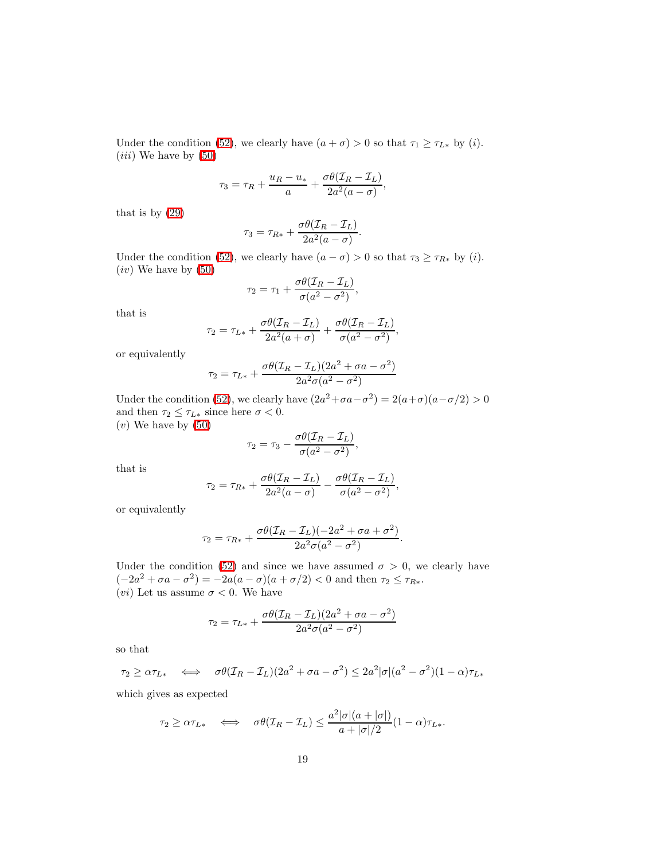Under the condition [\(52\)](#page-17-0), we clearly have  $(a + \sigma) > 0$  so that  $\tau_1 \geq \tau_{L*}$  by (*i*).  $(iii)$  We have by  $(50)$ 

$$
\tau_3 = \tau_R + \frac{u_R - u_*}{a} + \frac{\sigma \theta (I_R - I_L)}{2a^2(a - \sigma)},
$$

that is by [\(29\)](#page-9-2)

$$
\tau_3 = \tau_{R*} + \frac{\sigma \theta (\mathcal{I}_R - \mathcal{I}_L)}{2a^2(a-\sigma)}.
$$

Under the condition [\(52\)](#page-17-0), we clearly have  $(a - \sigma) > 0$  so that  $\tau_3 \geq \tau_{R*}$  by (*i*).  $(iv)$  We have by  $(50)$ 

$$
\tau_2 = \tau_1 + \frac{\sigma \theta (\mathcal{I}_R - \mathcal{I}_L)}{\sigma (a^2 - \sigma^2)},
$$

that is

$$
\tau_2 = \tau_{L*} + \frac{\sigma\theta(\mathcal{I}_R - \mathcal{I}_L)}{2a^2(a+\sigma)} + \frac{\sigma\theta(\mathcal{I}_R - \mathcal{I}_L)}{\sigma(a^2 - \sigma^2)},
$$

or equivalently

$$
\tau_2 = \tau_{L*} + \frac{\sigma \theta (T_R - T_L)(2a^2 + \sigma a - \sigma^2)}{2a^2 \sigma (a^2 - \sigma^2)}
$$

Under the condition [\(52\)](#page-17-0), we clearly have  $(2a^2 + \sigma a - \sigma^2) = 2(a+\sigma)(a-\sigma/2) > 0$ and then  $\tau_2 \leq \tau_{L*}$  since here  $\sigma < 0$ .  $(v)$  We have by  $(50)$ 

$$
\tau_2 = \tau_3 - \frac{\sigma \theta (\mathcal{I}_R - \mathcal{I}_L)}{\sigma (a^2 - \sigma^2)},
$$

that is

$$
\tau_2 = \tau_{R*} + \frac{\sigma \theta (\mathcal{I}_R - \mathcal{I}_L)}{2a^2(a-\sigma)} - \frac{\sigma \theta (\mathcal{I}_R - \mathcal{I}_L)}{\sigma (a^2 - \sigma^2)},
$$

or equivalently

$$
\tau_2 = \tau_{R*} + \frac{\sigma \theta (\mathcal{I}_R - \mathcal{I}_L)(-2a^2 + \sigma a + \sigma^2)}{2a^2 \sigma (a^2 - \sigma^2)}.
$$

Under the condition [\(52\)](#page-17-0) and since we have assumed  $\sigma > 0$ , we clearly have  $(-2a^2 + \sigma a - \sigma^2) = -2a(a - \sigma)(a + \sigma/2) < 0$  and then  $\tau_2 \le \tau_{R^*}.$ (*vi*) Let us assume  $\sigma < 0$ . We have

$$
\tau_2 = \tau_{L*} + \frac{\sigma \theta (\mathcal{I}_R - \mathcal{I}_L)(2a^2 + \sigma a - \sigma^2)}{2a^2 \sigma (a^2 - \sigma^2)}
$$

so that

$$
\tau_2 \geq \alpha \tau_{L*} \iff \sigma \theta (I_R - I_L)(2a^2 + \sigma a - \sigma^2) \leq 2a^2 |\sigma| (a^2 - \sigma^2)(1 - \alpha) \tau_{L*}
$$

which gives as expected

$$
\tau_2 \geq \alpha \tau_{L*} \quad \Longleftrightarrow \quad \sigma \theta(\mathcal{I}_R - \mathcal{I}_L) \leq \frac{a^2 |\sigma|(a + |\sigma|)}{a + |\sigma|/2} (1 - \alpha) \tau_{L*}.
$$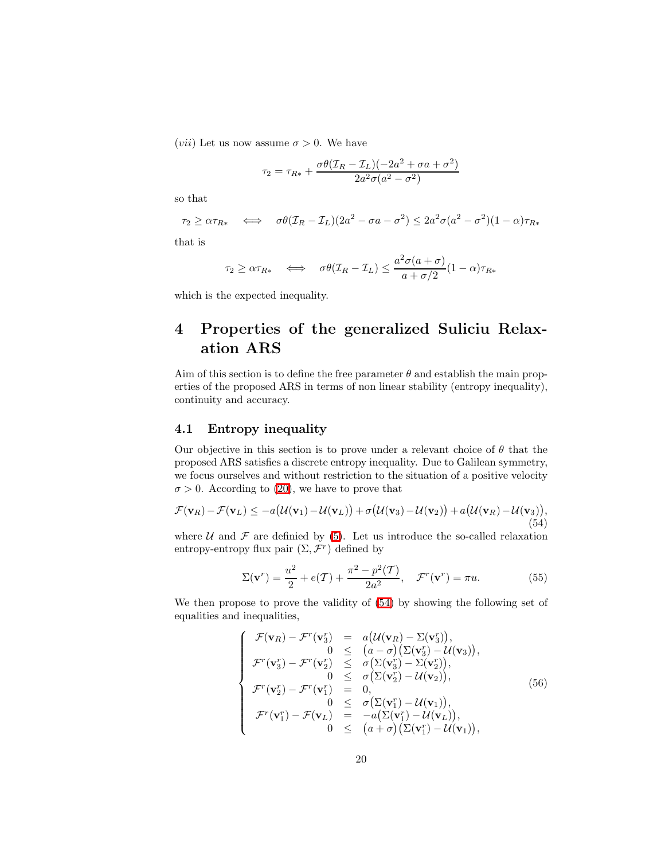(*vii*) Let us now assume  $\sigma > 0$ . We have

$$
\tau_2 = \tau_{R*} + \frac{\sigma \theta (\mathcal{I}_R - \mathcal{I}_L)(-2a^2 + \sigma a + \sigma^2)}{2a^2 \sigma (a^2 - \sigma^2)}
$$

so that

$$
\tau_2 \ge \alpha \tau_{R*} \quad \Longleftrightarrow \quad \sigma \theta (\mathcal{I}_R - \mathcal{I}_L)(2a^2 - \sigma a - \sigma^2) \le 2a^2 \sigma (a^2 - \sigma^2)(1 - \alpha) \tau_{R*}
$$

that is

$$
\tau_2 \geq \alpha \tau_{R*} \quad \Longleftrightarrow \quad \sigma \theta(\mathcal{I}_R - \mathcal{I}_L) \leq \frac{a^2 \sigma(a+\sigma)}{a+\sigma/2} (1-\alpha) \tau_{R*}
$$

<span id="page-19-0"></span>which is the expected inequality.

# 4 Properties of the generalized Suliciu Relaxation ARS

Aim of this section is to define the free parameter  $\theta$  and establish the main properties of the proposed ARS in terms of non linear stability (entropy inequality), continuity and accuracy.

### 4.1 Entropy inequality

Our objective in this section is to prove under a relevant choice of  $\theta$  that the proposed ARS satisfies a discrete entropy inequality. Due to Galilean symmetry, we focus ourselves and without restriction to the situation of a positive velocity  $\sigma > 0$ . According to [\(20\)](#page-6-0), we have to prove that

<span id="page-19-1"></span>
$$
\mathcal{F}(\mathbf{v}_R) - \mathcal{F}(\mathbf{v}_L) \le -a(\mathcal{U}(\mathbf{v}_1) - \mathcal{U}(\mathbf{v}_L)) + \sigma(\mathcal{U}(\mathbf{v}_3) - \mathcal{U}(\mathbf{v}_2)) + a(\mathcal{U}(\mathbf{v}_R) - \mathcal{U}(\mathbf{v}_3)),
$$
\n(54)

where  $U$  and  $\mathcal F$  are definied by [\(5\)](#page-1-3). Let us introduce the so-called relaxation entropy-entropy flux pair  $(\Sigma, \mathcal{F}^r)$  defined by

$$
\Sigma(\mathbf{v}^r) = \frac{u^2}{2} + e(\mathcal{T}) + \frac{\pi^2 - p^2(\mathcal{T})}{2a^2}, \quad \mathcal{F}^r(\mathbf{v}^r) = \pi u.
$$
 (55)

<span id="page-19-3"></span><span id="page-19-2"></span>We then propose to prove the validity of [\(54\)](#page-19-1) by showing the following set of equalities and inequalities,

$$
\begin{cases}\n\mathcal{F}(\mathbf{v}_R) - \mathcal{F}^r(\mathbf{v}_3^r) = a(\mathcal{U}(\mathbf{v}_R) - \Sigma(\mathbf{v}_3^r)), \\
0 \leq (a - \sigma)(\Sigma(\mathbf{v}_3^r) - \mathcal{U}(\mathbf{v}_3)), \\
\mathcal{F}^r(\mathbf{v}_3^r) - \mathcal{F}^r(\mathbf{v}_2^r) \leq \sigma(\Sigma(\mathbf{v}_3^r) - \Sigma(\mathbf{v}_2^r)), \\
0 \leq \sigma(\Sigma(\mathbf{v}_3^r) - \mathcal{U}(\mathbf{v}_2)), \\
\mathcal{F}^r(\mathbf{v}_2^r) - \mathcal{F}^r(\mathbf{v}_1^r) = 0, \\
0 \leq \sigma(\Sigma(\mathbf{v}_1^r) - \mathcal{U}(\mathbf{v}_1)), \\
\mathcal{F}^r(\mathbf{v}_1^r) - \mathcal{F}(\mathbf{v}_L) = -a(\Sigma(\mathbf{v}_1^r) - \mathcal{U}(\mathbf{v}_L)), \\
0 \leq (a + \sigma)(\Sigma(\mathbf{v}_1^r) - \mathcal{U}(\mathbf{v}_1)),\n\end{cases}
$$
\n(56)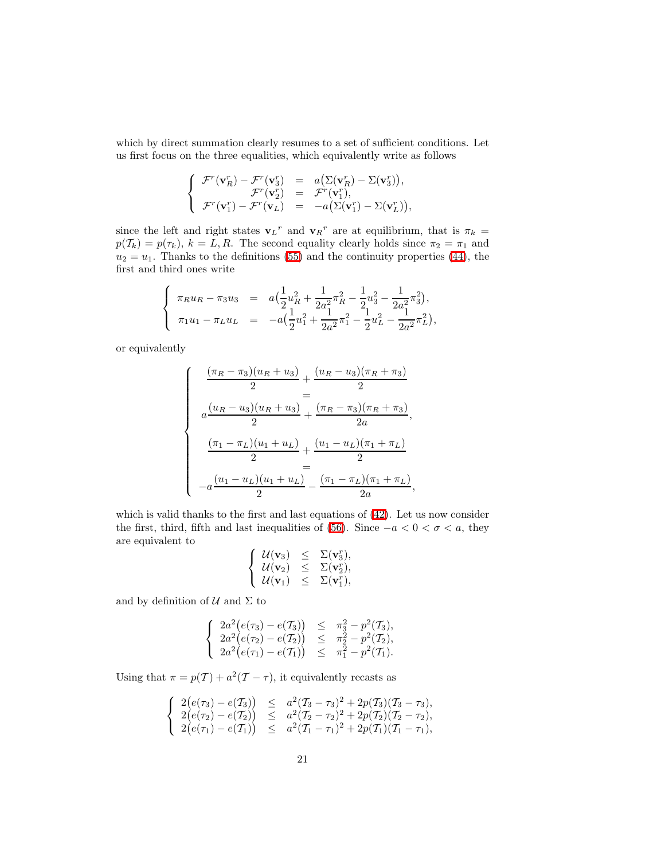which by direct summation clearly resumes to a set of sufficient conditions. Let us first focus on the three equalities, which equivalently write as follows

$$
\begin{cases}\n\mathcal{F}^r(\mathbf{v}_R^r) - \mathcal{F}^r(\mathbf{v}_3^r) &= a(\Sigma(\mathbf{v}_R^r) - \Sigma(\mathbf{v}_3^r)), \\
\mathcal{F}^r(\mathbf{v}_2^r) &= \mathcal{F}^r(\mathbf{v}_1^r), \\
\mathcal{F}^r(\mathbf{v}_1^r) - \mathcal{F}^r(\mathbf{v}_L) &= -a(\Sigma(\mathbf{v}_1^r) - \Sigma(\mathbf{v}_L^r)),\n\end{cases}
$$

since the left and right states  ${\bf v}_L^r$  and  ${\bf v}_R^r$  are at equilibrium, that is  $\pi_k =$  $p(\mathcal{T}_k) = p(\tau_k)$ ,  $k = L, R$ . The second equality clearly holds since  $\pi_2 = \pi_1$  and  $u_2 = u_1$ . Thanks to the definitions [\(55\)](#page-19-2) and the continuity properties [\(44\)](#page-13-5), the first and third ones write

$$
\begin{cases}\n\pi_R u_R - \pi_3 u_3 = a \left( \frac{1}{2} u_R^2 + \frac{1}{2a^2} \pi_R^2 - \frac{1}{2} u_3^2 - \frac{1}{2a^2} \pi_3^2 \right), \\
\pi_1 u_1 - \pi_L u_L = -a \left( \frac{1}{2} u_1^2 + \frac{1}{2a^2} \pi_1^2 - \frac{1}{2} u_L^2 - \frac{1}{2a^2} \pi_L^2 \right),\n\end{cases}
$$

or equivalently

$$
\begin{cases}\n\frac{(\pi_R - \pi_3)(u_R + u_3)}{2} + \frac{(u_R - u_3)(\pi_R + \pi_3)}{2} \\
a\frac{(u_R - u_3)(u_R + u_3)}{2} + \frac{(\pi_R - \pi_3)(\pi_R + \pi_3)}{2a}, \\
\frac{(\pi_1 - \pi_L)(u_1 + u_L)}{2} + \frac{(u_1 - u_L)(\pi_1 + \pi_L)}{2} \\
-a\frac{(u_1 - u_L)(u_1 + u_L)}{2} - \frac{(\pi_1 - \pi_L)(\pi_1 + \pi_L)}{2a},\n\end{cases}
$$

which is valid thanks to the first and last equations of [\(42\)](#page-13-2). Let us now consider the first, third, fifth and last inequalities of [\(56\)](#page-19-3). Since  $-a < 0 < \sigma < a$ , they are equivalent to

$$
\left\{\begin{array}{ll}\mathcal{U}(\mathbf{v}_3) & \leq & \Sigma(\mathbf{v}_3^r),\\ \mathcal{U}(\mathbf{v}_2) & \leq & \Sigma(\mathbf{v}_2^r),\\ \mathcal{U}(\mathbf{v}_1) & \leq & \Sigma(\mathbf{v}_1^r),\end{array}\right.
$$

and by definition of  $\mathcal U$  and  $\Sigma$  to

$$
\left\{\n\begin{array}{lcl}\n2a^2(e(\tau_3)-e(T_3)) & \leq & \pi_3^2-p^2(T_3), \\
2a^2(e(\tau_2)-e(T_2)) & \leq & \pi_2^2-p^2(T_2), \\
2a^2(e(\tau_1)-e(T_1)) & \leq & \pi_1^2-p^2(T_1).\n\end{array}\n\right.
$$

Using that  $\pi = p(\mathcal{T}) + a^2(\mathcal{T} - \tau)$ , it equivalently recasts as

$$
\left\{\n\begin{array}{lcl}\n2(e(\tau_3)-e(\mathcal{T}_3)) & \leq & a^2(\mathcal{T}_3-\tau_3)^2+2p(\mathcal{T}_3)(\mathcal{T}_3-\tau_3), \\
2(e(\tau_2)-e(\mathcal{T}_2)) & \leq & a^2(\mathcal{T}_2-\tau_2)^2+2p(\mathcal{T}_2)(\mathcal{T}_2-\tau_2), \\
2(e(\tau_1)-e(\mathcal{T}_1)) & \leq & a^2(\mathcal{T}_1-\tau_1)^2+2p(\mathcal{T}_1)(\mathcal{T}_1-\tau_1),\n\end{array}\n\right.
$$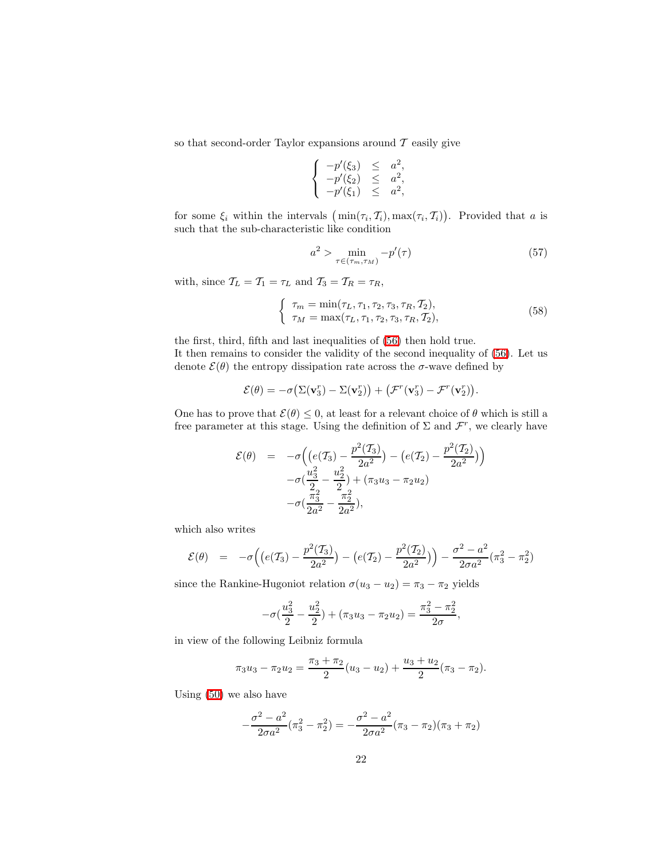so that second-order Taylor expansions around  $\mathcal T$  easily give

$$
\begin{cases}\n-p'(\xi_3) \leq a^2, \\
-p'(\xi_2) \leq a^2, \\
-p'(\xi_1) \leq a^2,\n\end{cases}
$$

for some  $\xi_i$  within the intervals  $(\min(\tau_i, \mathcal{T}_i), \max(\tau_i, \mathcal{T}_i))$ . Provided that a is such that the sub-characteristic like condition

$$
a^2 > \min_{\tau \in (\tau_m, \tau_M)} -p'(\tau) \tag{57}
$$

<span id="page-21-1"></span><span id="page-21-0"></span>with, since  $\mathcal{T}_L = \mathcal{T}_1 = \tau_L$  and  $\mathcal{T}_3 = \mathcal{T}_R = \tau_R$ ,

$$
\begin{cases}\n\tau_m = \min(\tau_L, \tau_1, \tau_2, \tau_3, \tau_R, T_2), \\
\tau_M = \max(\tau_L, \tau_1, \tau_2, \tau_3, \tau_R, T_2),\n\end{cases}
$$
\n(58)

the first, third, fifth and last inequalities of [\(56\)](#page-19-3) then hold true. It then remains to consider the validity of the second inequality of [\(56\)](#page-19-3). Let us denote  $\mathcal{E}(\theta)$  the entropy dissipation rate across the  $\sigma$ -wave defined by

$$
\mathcal{E}(\theta) = -\sigma \big(\Sigma(\mathbf{v}_3^r) - \Sigma(\mathbf{v}_2^r)\big) + \big(\mathcal{F}^r(\mathbf{v}_3^r) - \mathcal{F}^r(\mathbf{v}_2^r)\big).
$$

One has to prove that  $\mathcal{E}(\theta) \leq 0$ , at least for a relevant choice of  $\theta$  which is still a free parameter at this stage. Using the definition of  $\Sigma$  and  $\mathcal{F}^r$ , we clearly have

$$
\mathcal{E}(\theta) = -\sigma \Big( \big( e(\mathcal{T}_3) - \frac{p^2(\mathcal{T}_3)}{2a^2} \big) - \big( e(\mathcal{T}_2) - \frac{p^2(\mathcal{T}_2)}{2a^2} \big) \Big) \n- \sigma \big( \frac{u_3^2}{2} - \frac{u_2^2}{2} \big) + (\pi_3 u_3 - \pi_2 u_2) \n- \sigma \big( \frac{\pi_3^2}{2a^2} - \frac{\pi_2^2}{2a^2} \big),
$$

which also writes

$$
\mathcal{E}(\theta) = -\sigma\Big( \big( e(\mathcal{T}_3) - \frac{p^2(\mathcal{T}_3)}{2a^2} \big) - \big( e(\mathcal{T}_2) - \frac{p^2(\mathcal{T}_2)}{2a^2} \big) \Big) - \frac{\sigma^2 - a^2}{2\sigma a^2} (\pi_3^2 - \pi_2^2)
$$

since the Rankine-Hugoniot relation  $\sigma(u_3 - u_2) = \pi_3 - \pi_2$  yields

$$
-\sigma(\frac{u_3^2}{2}-\frac{u_2^2}{2})+(\pi_3u_3-\pi_2u_2)=\frac{\pi_3^2-\pi_2^2}{2\sigma},
$$

in view of the following Leibniz formula

$$
\pi_3 u_3 - \pi_2 u_2 = \frac{\pi_3 + \pi_2}{2} (u_3 - u_2) + \frac{u_3 + u_2}{2} (\pi_3 - \pi_2).
$$

Using [\(50\)](#page-16-0) we also have

$$
-\frac{\sigma^2 - a^2}{2\sigma a^2}(\pi_3^2 - \pi_2^2) = -\frac{\sigma^2 - a^2}{2\sigma a^2}(\pi_3 - \pi_2)(\pi_3 + \pi_2)
$$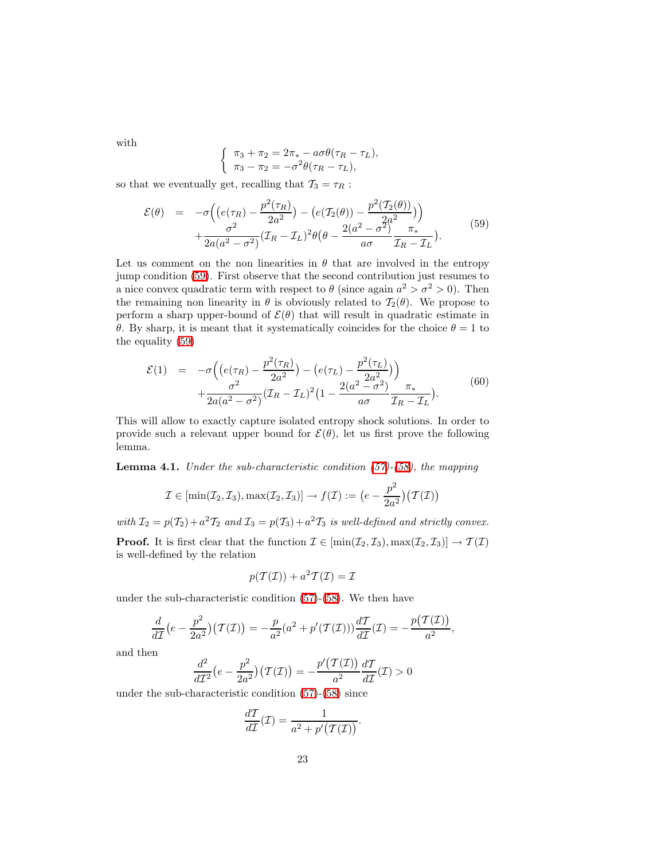with

$$
\begin{cases}\n\pi_3 + \pi_2 = 2\pi_* - a\sigma\theta(\tau_R - \tau_L), \\
\pi_3 - \pi_2 = -\sigma^2\theta(\tau_R - \tau_L),\n\end{cases}
$$

<span id="page-22-0"></span>so that we eventually get, recalling that  $\mathcal{T}_3 = \tau_R$ :

$$
\mathcal{E}(\theta) = -\sigma \Big( \big( e(\tau_R) - \frac{p^2(\tau_R)}{2a^2} \big) - \big( e(\mathcal{T}_2(\theta)) - \frac{p^2(\mathcal{T}_2(\theta))}{2a^2} \big) \Big) + \frac{\sigma^2}{2a(a^2 - \sigma^2)} (\mathcal{T}_R - \mathcal{T}_L)^2 \theta \big( \theta - \frac{2(a^2 - \sigma^2)}{a\sigma} \frac{\pi_*}{\mathcal{T}_R - \mathcal{T}_L} \big). \tag{59}
$$

Let us comment on the non linearities in  $\theta$  that are involved in the entropy jump condition [\(59\)](#page-22-0). First observe that the second contribution just resumes to a nice convex quadratic term with respect to  $\theta$  (since again  $a^2 > \sigma^2 > 0$ ). Then the remaining non linearity in  $\theta$  is obviously related to  $\mathcal{T}_2(\theta)$ . We propose to perform a sharp upper-bound of  $\mathcal{E}(\theta)$  that will result in quadratic estimate in θ. By sharp, it is meant that it systematically coincides for the choice θ = 1 to the equality [\(59\)](#page-22-0)

$$
\mathcal{E}(1) = -\sigma \Big( \big( e(\tau_R) - \frac{p^2(\tau_R)}{2a^2} \big) - \big( e(\tau_L) - \frac{p^2(\tau_L)}{2a^2} \big) \Big) + \frac{\sigma^2}{2a(a^2 - \sigma^2)} (\mathcal{I}_R - \mathcal{I}_L)^2 \big( 1 - \frac{2(a^2 - \sigma^2)}{a\sigma} \frac{\pi_*}{\mathcal{I}_R - \mathcal{I}_L} \big). \tag{60}
$$

This will allow to exactly capture isolated entropy shock solutions. In order to provide such a relevant upper bound for  $\mathcal{E}(\theta)$ , let us first prove the following lemma.

Lemma 4.1. *Under the sub-characteristic condition [\(57\)](#page-21-0)-[\(58\)](#page-21-1), the mapping*

$$
\mathcal{I} \in [\min(\mathcal{I}_2, \mathcal{I}_3), \max(\mathcal{I}_2, \mathcal{I}_3)] \to f(\mathcal{I}) := \big(e - \frac{p^2}{2a^2}\big)\big(\mathcal{T}(\mathcal{I})\big)
$$

with  $\mathcal{I}_2 = p(\mathcal{I}_2) + a^2 \mathcal{I}_2$  and  $\mathcal{I}_3 = p(\mathcal{I}_3) + a^2 \mathcal{I}_3$  *is well-defined and strictly convex.* 

**Proof.** It is first clear that the function  $\mathcal{I} \in [\min(\mathcal{I}_2, \mathcal{I}_3), \max(\mathcal{I}_2, \mathcal{I}_3)] \to \mathcal{T}(\mathcal{I})$ is well-defined by the relation

$$
p(\mathcal{T}(\mathcal{I})) + a^2 \mathcal{T}(\mathcal{I}) = \mathcal{I}
$$

under the sub-characteristic condition [\(57\)](#page-21-0)-[\(58\)](#page-21-1). We then have

$$
\frac{d}{d\mathcal{I}}\big(e-\frac{p^2}{2a^2}\big)\big(\mathcal{T}(\mathcal{I})\big)=-\frac{p}{a^2}(a^2+p'(\mathcal{T}(\mathcal{I})))\frac{d\mathcal{T}}{d\mathcal{I}}(\mathcal{I})=-\frac{p(\mathcal{T}(\mathcal{I}))}{a^2},
$$

and then

$$
\frac{d^2}{dT^2}\big(e - \frac{p^2}{2a^2}\big)\big(\mathcal{T}(\mathcal{I})\big) = -\frac{p'\big(\mathcal{T}(\mathcal{I})\big)}{a^2}\frac{d\mathcal{T}}{d\mathcal{I}}(\mathcal{I}) > 0
$$

under the sub-characteristic condition [\(57\)](#page-21-0)-[\(58\)](#page-21-1) since

$$
\frac{dT}{d\mathcal{I}}(\mathcal{I}) = \frac{1}{a^2 + p'(\mathcal{T}(\mathcal{I}))}.
$$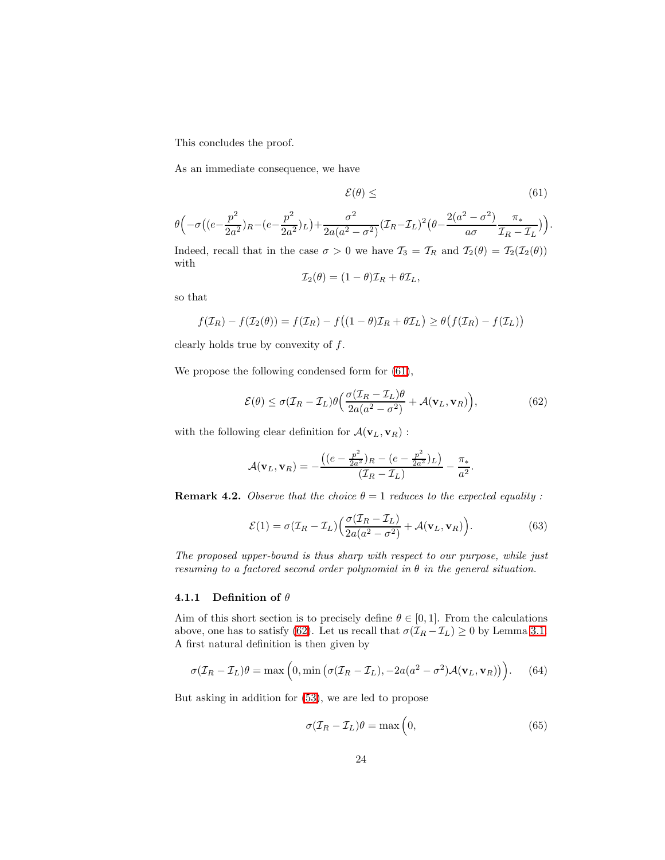This concludes the proof.

As an immediate consequence, we have

<span id="page-23-0"></span>
$$
\mathcal{E}(\theta) \leq \tag{61}
$$

$$
\theta\Big(-\sigma\big((e-\frac{p^2}{2a^2})_R-(e-\frac{p^2}{2a^2})_L\big)+\frac{\sigma^2}{2a(a^2-\sigma^2)}(\mathcal{I}_R-\mathcal{I}_L)^2\big(\theta-\frac{2(a^2-\sigma^2)}{a\sigma}\frac{\pi_*}{\mathcal{I}_R-\mathcal{I}_L}\big)\Big).
$$

Indeed, recall that in the case  $\sigma > 0$  we have  $\mathcal{T}_3 = \mathcal{T}_R$  and  $\mathcal{T}_2(\theta) = \mathcal{T}_2(\mathcal{I}_2(\theta))$ with

$$
\mathcal{I}_2(\theta) = (1 - \theta)\mathcal{I}_R + \theta\mathcal{I}_L,
$$

so that

$$
f(\mathcal{I}_R) - f(\mathcal{I}_2(\theta)) = f(\mathcal{I}_R) - f((1 - \theta)\mathcal{I}_R + \theta\mathcal{I}_L) \ge \theta\big(f(\mathcal{I}_R) - f(\mathcal{I}_L)\big)
$$

clearly holds true by convexity of  $f$ .

<span id="page-23-1"></span>We propose the following condensed form for [\(61\)](#page-23-0),

$$
\mathcal{E}(\theta) \le \sigma (\mathcal{I}_R - \mathcal{I}_L) \theta \Big( \frac{\sigma (\mathcal{I}_R - \mathcal{I}_L) \theta}{2a(a^2 - \sigma^2)} + \mathcal{A}(\mathbf{v}_L, \mathbf{v}_R) \Big), \tag{62}
$$

with the following clear definition for  $\mathcal{A}(\mathbf{v}_L, \mathbf{v}_R)$ :

$$
\mathcal{A}(\mathbf{v}_L, \mathbf{v}_R) = -\frac{((e - \frac{p^2}{2a^2})_R - (e - \frac{p^2}{2a^2})_L)}{(\mathcal{I}_R - \mathcal{I}_L)} - \frac{\pi_*}{a^2}.
$$

**Remark 4.2.** *Observe that the choice*  $\theta = 1$  *reduces to the expected equality :* 

$$
\mathcal{E}(1) = \sigma(\mathcal{I}_R - \mathcal{I}_L) \left( \frac{\sigma(\mathcal{I}_R - \mathcal{I}_L)}{2a(a^2 - \sigma^2)} + \mathcal{A}(\mathbf{v}_L, \mathbf{v}_R) \right).
$$
(63)

*The proposed upper-bound is thus sharp with respect to our purpose, while just resuming to a factored second order polynomial in*  $\theta$  *in the general situation.* 

### 4.1.1 Definition of  $\theta$

Aim of this short section is to precisely define  $\theta \in [0,1]$ . From the calculations above, one has to satisfy [\(62\)](#page-23-1). Let us recall that  $\sigma(\mathcal{I}_R - \mathcal{I}_L) \ge 0$  by Lemma [3.1.](#page-17-1) A first natural definition is then given by

$$
\sigma(\mathcal{I}_R - \mathcal{I}_L)\theta = \max\left(0, \min\left(\sigma(\mathcal{I}_R - \mathcal{I}_L), -2a(a^2 - \sigma^2)\mathcal{A}(\mathbf{v}_L, \mathbf{v}_R)\right)\right). \tag{64}
$$

<span id="page-23-2"></span>But asking in addition for [\(53\)](#page-17-2), we are led to propose

$$
\sigma(\mathcal{I}_R - \mathcal{I}_L)\theta = \max\left(0,\tag{65}\right)
$$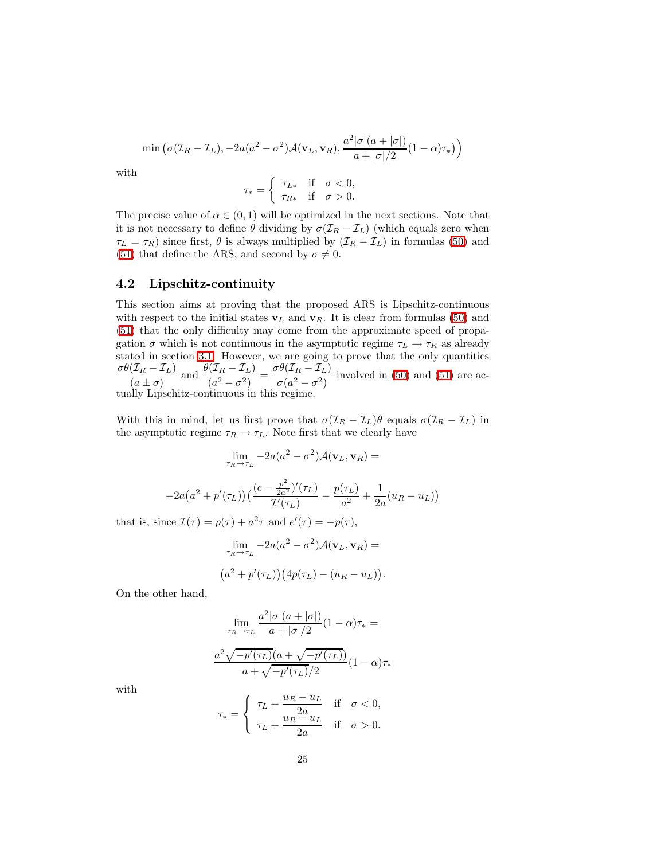$$
\min\left(\sigma(\mathcal{I}_R-\mathcal{I}_L),-2a(a^2-\sigma^2)\mathcal{A}(\mathbf{v}_L,\mathbf{v}_R),\frac{a^2|\sigma|(a+|\sigma|)}{a+|\sigma|/2}(1-\alpha)\tau_*\right)
$$

with

$$
\tau_* = \begin{cases} \tau_{L*} & \text{if } \sigma < 0, \\ \tau_{R*} & \text{if } \sigma > 0. \end{cases}
$$

The precise value of  $\alpha \in (0,1)$  will be optimized in the next sections. Note that it is not necessary to define  $\theta$  dividing by  $\sigma(\mathcal{I}_R - \mathcal{I}_L)$  (which equals zero when  $\tau_L = \tau_R$ ) since first,  $\theta$  is always multiplied by  $(\mathcal{I}_R - \mathcal{I}_L)$  in formulas [\(50\)](#page-16-0) and [\(51\)](#page-16-1) that define the ARS, and second by  $\sigma \neq 0$ .

### 4.2 Lipschitz-continuity

This section aims at proving that the proposed ARS is Lipschitz-continuous with respect to the initial states  $v_L$  and  $v_R$ . It is clear from formulas [\(50\)](#page-16-0) and [\(51\)](#page-16-1) that the only difficulty may come from the approximate speed of propagation  $\sigma$  which is not continuous in the asymptotic regime  $\tau_L \to \tau_R$  as already stated in section [3.1.](#page-11-3) However, we are going to prove that the only quantities  $\sigma \theta({\cal I}_R - {\cal I}_L)$  $(a \pm \sigma)$ and  $\frac{\theta(\mathcal{I}_R - \mathcal{I}_L)}{(a^2 - \sigma^2)} = \frac{\sigma\theta(\mathcal{I}_R - \mathcal{I}_L)}{\sigma(a^2 - \sigma^2)}$  $\frac{\sigma(\omega_R - \omega_L)}{\sigma(a^2 - \sigma^2)}$  involved in [\(50\)](#page-16-0) and [\(51\)](#page-16-1) are ac-

tually Lipschitz-continuous in this regime.

With this in mind, let us first prove that  $\sigma(\mathcal{I}_R - \mathcal{I}_L)\theta$  equals  $\sigma(\mathcal{I}_R - \mathcal{I}_L)$  in the asymptotic regime  $\tau_R \to \tau_L$ . Note first that we clearly have

$$
\lim_{\tau_R \to \tau_L} -2a(a^2 - \sigma^2) \mathcal{A}(\mathbf{v}_L, \mathbf{v}_R) =
$$

$$
-2a(a^2 + p'(\tau_L)) \left( \frac{(e - \frac{p^2}{2a^2})'(\tau_L)}{\mathcal{I}'(\tau_L)} - \frac{p(\tau_L)}{a^2} + \frac{1}{2a}(u_R - u_L) \right)
$$

that is, since  $\mathcal{I}(\tau) = p(\tau) + a^2 \tau$  and  $e'(\tau) = -p(\tau)$ ,

$$
\lim_{\tau_R \to \tau_L} -2a(a^2 - \sigma^2) \mathcal{A}(\mathbf{v}_L, \mathbf{v}_R) =
$$

$$
(a^2 + p'(\tau_L)) (4p(\tau_L) - (u_R - u_L)).
$$

On the other hand,

$$
\lim_{\tau_R \to \tau_L} \frac{a^2 |\sigma|(a+|\sigma|)}{a+|\sigma|/2} (1-\alpha)\tau_* =
$$

$$
\frac{a^2 \sqrt{-p'(\tau_L)} (a + \sqrt{-p'(\tau_L)})}{a + \sqrt{-p'(\tau_L)}/2} (1-\alpha)\tau_*
$$

with

$$
\tau_* = \begin{cases} \tau_L + \frac{u_R - u_L}{2a} & \text{if } \sigma < 0, \\ \tau_L + \frac{u_R - u_L}{2a} & \text{if } \sigma > 0. \end{cases}
$$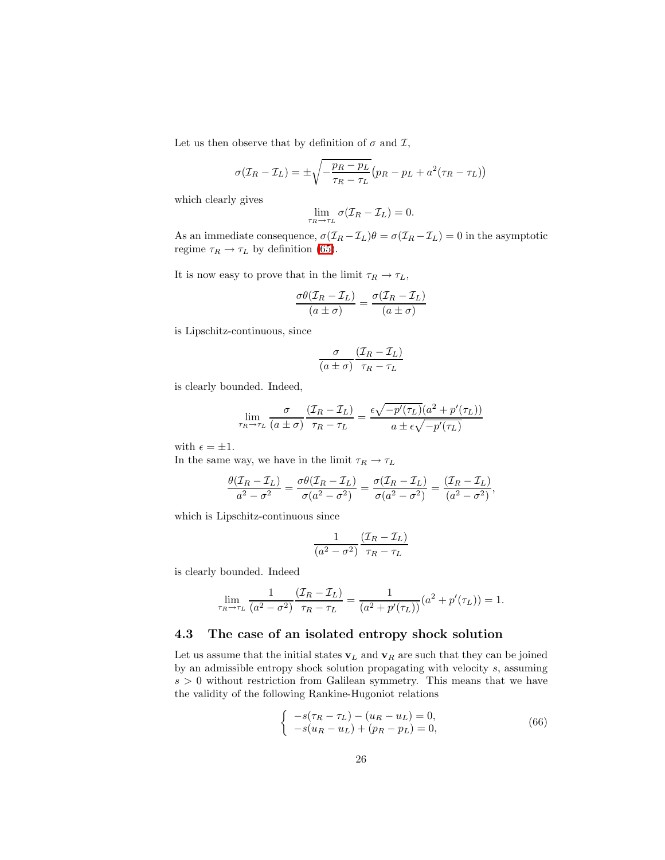Let us then observe that by definition of  $\sigma$  and  $\mathcal{I}$ ,

$$
\sigma(\mathcal{I}_R - \mathcal{I}_L) = \pm \sqrt{-\frac{p_R - p_L}{\tau_R - \tau_L}} \big( p_R - p_L + a^2 (\tau_R - \tau_L) \big)
$$

which clearly gives

$$
\lim_{\tau_R \to \tau_L} \sigma(\mathcal{I}_R - \mathcal{I}_L) = 0.
$$

As an immediate consequence,  $\sigma(\mathcal{I}_R - \mathcal{I}_L)\theta = \sigma(\mathcal{I}_R - \mathcal{I}_L) = 0$  in the asymptotic regime  $\tau_R \to \tau_L$  by definition [\(65\)](#page-23-2).

It is now easy to prove that in the limit  $\tau_R \to \tau_L$ ,

$$
\frac{\sigma\theta(\mathcal{I}_R - \mathcal{I}_L)}{(a \pm \sigma)} = \frac{\sigma(\mathcal{I}_R - \mathcal{I}_L)}{(a \pm \sigma)}
$$

is Lipschitz-continuous, since

$$
\frac{\sigma}{(a \pm \sigma)} \frac{(\mathcal{I}_R - \mathcal{I}_L)}{\tau_R - \tau_L}
$$

is clearly bounded. Indeed,

$$
\lim_{\tau_R \to \tau_L} \frac{\sigma}{(a \pm \sigma)} \frac{(\mathcal{I}_R - \mathcal{I}_L)}{\tau_R - \tau_L} = \frac{\epsilon \sqrt{-p'(\tau_L)} (a^2 + p'(\tau_L))}{a \pm \epsilon \sqrt{-p'(\tau_L)}}
$$

with  $\epsilon = \pm 1$ .

In the same way, we have in the limit  $\tau_R \to \tau_L$ 

$$
\frac{\theta(\mathcal{I}_R - \mathcal{I}_L)}{a^2 - \sigma^2} = \frac{\sigma\theta(\mathcal{I}_R - \mathcal{I}_L)}{\sigma(a^2 - \sigma^2)} = \frac{\sigma(\mathcal{I}_R - \mathcal{I}_L)}{\sigma(a^2 - \sigma^2)} = \frac{(\mathcal{I}_R - \mathcal{I}_L)}{(a^2 - \sigma^2)},
$$

which is Lipschitz-continuous since

$$
\frac{1}{(a^2 - \sigma^2)} \frac{(\mathcal{I}_R - \mathcal{I}_L)}{\tau_R - \tau_L}
$$

is clearly bounded. Indeed

$$
\lim_{\tau_R \to \tau_L} \frac{1}{(a^2 - \sigma^2)} \frac{(\mathcal{I}_R - \mathcal{I}_L)}{\tau_R - \tau_L} = \frac{1}{(a^2 + p'(\tau_L))} (a^2 + p'(\tau_L)) = 1.
$$

### 4.3 The case of an isolated entropy shock solution

<span id="page-25-0"></span>Let us assume that the initial states  $\mathbf{v}_L$  and  $\mathbf{v}_R$  are such that they can be joined by an admissible entropy shock solution propagating with velocity s, assuming  $s > 0$  without restriction from Galilean symmetry. This means that we have the validity of the following Rankine-Hugoniot relations

$$
\begin{cases}\n-s(\tau_R - \tau_L) - (u_R - u_L) = 0, \\
-s(u_R - u_L) + (p_R - p_L) = 0,\n\end{cases}
$$
\n(66)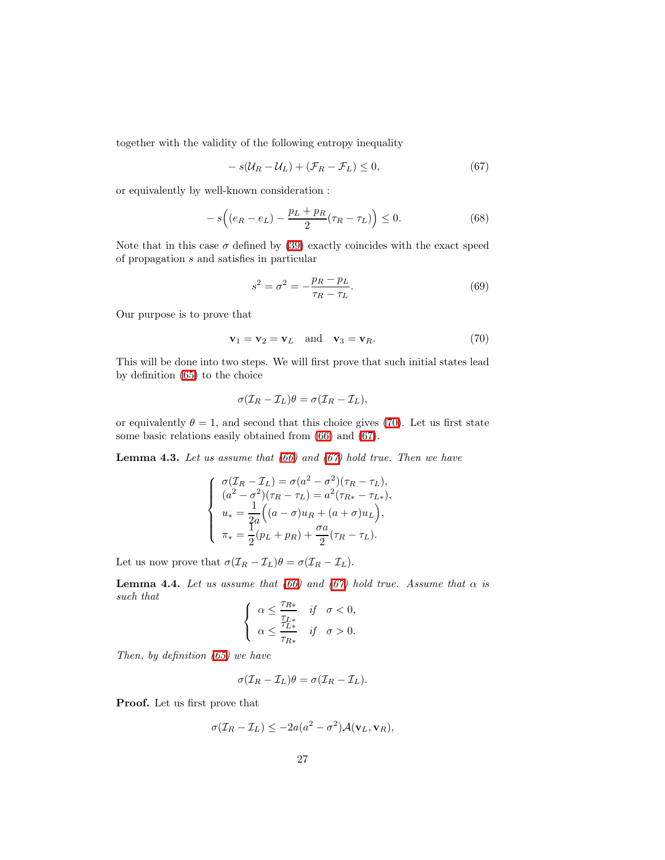<span id="page-26-1"></span>together with the validity of the following entropy inequality

$$
-s(\mathcal{U}_R - \mathcal{U}_L) + (\mathcal{F}_R - \mathcal{F}_L) \le 0,\tag{67}
$$

<span id="page-26-3"></span>or equivalently by well-known consideration :

$$
-s\Big((e_R - e_L) - \frac{p_L + p_R}{2}(\tau_R - \tau_L)\Big) \le 0.
$$
\n(68)

Note that in this case  $\sigma$  defined by [\(39\)](#page-12-1) exactly coincides with the exact speed of propagation s and satisfies in particular

$$
s^2 = \sigma^2 = -\frac{p_R - p_L}{\tau_R - \tau_L}.\tag{69}
$$

<span id="page-26-2"></span><span id="page-26-0"></span>Our purpose is to prove that

$$
\mathbf{v}_1 = \mathbf{v}_2 = \mathbf{v}_L \quad \text{and} \quad \mathbf{v}_3 = \mathbf{v}_R. \tag{70}
$$

This will be done into two steps. We will first prove that such initial states lead by definition [\(65\)](#page-23-2) to the choice

$$
\sigma(\mathcal{I}_R - \mathcal{I}_L)\theta = \sigma(\mathcal{I}_R - \mathcal{I}_L),
$$

<span id="page-26-4"></span>or equivalently  $\theta = 1$ , and second that this choice gives [\(70\)](#page-26-0). Let us first state some basic relations easily obtained from [\(66\)](#page-25-0) and [\(67\)](#page-26-1).

Lemma 4.3. *Let us assume that [\(66\)](#page-25-0) and [\(67\)](#page-26-1) hold true. Then we have*

$$
\begin{cases}\n\sigma(\mathcal{I}_R - \mathcal{I}_L) = \sigma(a^2 - \sigma^2)(\tau_R - \tau_L), \\
(a^2 - \sigma^2)(\tau_R - \tau_L) = a^2(\tau_{R*} - \tau_{L*}), \\
u_* = \frac{1}{2a} \left( (a - \sigma)u_R + (a + \sigma)u_L \right), \\
\pi_* = \frac{1}{2}(p_L + p_R) + \frac{\sigma a}{2}(\tau_R - \tau_L).\n\end{cases}
$$

Let us now prove that  $\sigma(\mathcal{I}_R - \mathcal{I}_L)\theta = \sigma(\mathcal{I}_R - \mathcal{I}_L)$ .

**Lemma 4.4.** Let us assume that [\(66\)](#page-25-0) and [\(67\)](#page-26-1) hold true. Assume that  $\alpha$  is *such that*

$$
\left\{ \begin{array}{ll} \alpha \leq \frac{\tau_{R*}}{\tau_{L*}} & \text{if} \quad \sigma < 0, \\ \alpha \leq \frac{\tau_{L*}}{\tau_{R*}} & \text{if} \quad \sigma > 0. \end{array} \right.
$$

*Then, by definition [\(65\)](#page-23-2) we have*

$$
\sigma(\mathcal{I}_R - \mathcal{I}_L)\theta = \sigma(\mathcal{I}_R - \mathcal{I}_L).
$$

Proof. Let us first prove that

$$
\sigma(\mathcal{I}_R - \mathcal{I}_L) \leq -2a(a^2 - \sigma^2)\mathcal{A}(\mathbf{v}_L, \mathbf{v}_R),
$$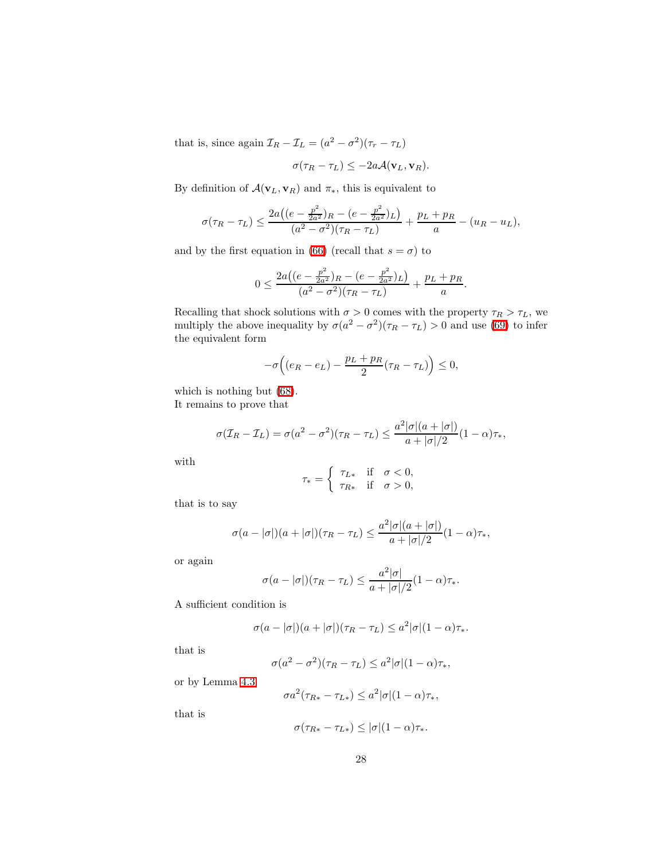that is, since again  $\mathcal{I}_R - \mathcal{I}_L = (a^2 - \sigma^2)(\tau_r - \tau_L)$ 

$$
\sigma(\tau_R - \tau_L) \leq -2a\mathcal{A}(\mathbf{v}_L, \mathbf{v}_R).
$$

By definition of  $\mathcal{A}(\mathbf{v}_L, \mathbf{v}_R)$  and  $\pi_*,$  this is equivalent to

$$
\sigma(\tau_R - \tau_L) \le \frac{2a\left((e - \frac{p^2}{2a^2})_R - (e - \frac{p^2}{2a^2})_L\right)}{(a^2 - \sigma^2)(\tau_R - \tau_L)} + \frac{p_L + p_R}{a} - (u_R - u_L),
$$

and by the first equation in [\(66\)](#page-25-0) (recall that  $s = \sigma$ ) to

$$
0 \le \frac{2a\left((e - \frac{p^2}{2a^2})_R - (e - \frac{p^2}{2a^2})_L\right)}{(a^2 - \sigma^2)(\tau_R - \tau_L)} + \frac{p_L + p_R}{a}.
$$

Recalling that shock solutions with  $\sigma > 0$  comes with the property  $\tau_R > \tau_L$ , we multiply the above inequality by  $\sigma(a^2 - \sigma^2)(\tau_R - \tau_L) > 0$  and use [\(69\)](#page-26-2) to infer the equivalent form

$$
-\sigma\Big((e_R - e_L) - \frac{p_L + p_R}{2}(\tau_R - \tau_L)\Big) \le 0,
$$

which is nothing but [\(68\)](#page-26-3). It remains to prove that

$$
\sigma(\mathcal{I}_R - \mathcal{I}_L) = \sigma(a^2 - \sigma^2)(\tau_R - \tau_L) \le \frac{a^2 |\sigma|(a + |\sigma|)}{a + |\sigma|/2} (1 - \alpha)\tau_*,
$$

with

$$
\tau_* = \left\{ \begin{array}{ll} \tau_{L*} & \text{if} \quad \sigma < 0, \\ \tau_{R*} & \text{if} \quad \sigma > 0, \end{array} \right.
$$

that is to say

$$
\sigma(a-|\sigma|)(a+|\sigma|)(\tau_R-\tau_L) \leq \frac{a^2|\sigma|(a+|\sigma|)}{a+|\sigma|/2}(1-\alpha)\tau_*,
$$

or again

$$
\sigma(a-|\sigma|)(\tau_R-\tau_L) \leq \frac{a^2|\sigma|}{a+|\sigma|/2}(1-\alpha)\tau_*.
$$

A sufficient condition is

$$
\sigma(a-|\sigma|)(a+|\sigma|)(\tau_R-\tau_L)\leq a^2|\sigma|(1-\alpha)\tau_*.
$$

that is

$$
\sigma(a^2 - \sigma^2)(\tau_R - \tau_L) \le a^2 |\sigma|(1 - \alpha)\tau_*,
$$

or by Lemma [4.3](#page-26-4)

$$
\sigma a^2(\tau_{R*} - \tau_{L*}) \le a^2 |\sigma|(1-\alpha)\tau_*,
$$

that is

$$
\sigma(\tau_{R*} - \tau_{L*}) \leq |\sigma|(1-\alpha)\tau_*.
$$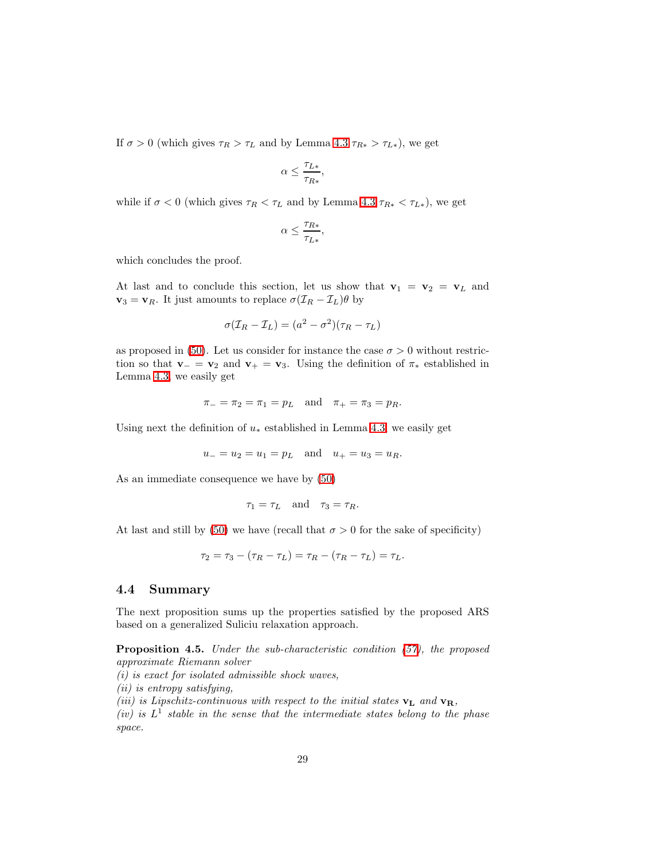If  $\sigma > 0$  (which gives  $\tau_R > \tau_L$  and by Lemma [4.3](#page-26-4)  $\tau_{R*} > \tau_{L*}$ ), we get

$$
\alpha \leq \frac{\tau_{L*}}{\tau_{R*}},
$$

while if  $\sigma < 0$  (which gives  $\tau_R < \tau_L$  and by Lemma [4.3](#page-26-4)  $\tau_{R*} < \tau_{L*}$ ), we get

$$
\alpha \le \frac{\tau_{R*}}{\tau_{L*}},
$$

which concludes the proof.

At last and to conclude this section, let us show that  $v_1 = v_2 = v_L$  and  $\mathbf{v}_3 = \mathbf{v}_R$ . It just amounts to replace  $\sigma(\mathcal{I}_R - \mathcal{I}_L)\theta$  by

$$
\sigma(\mathcal{I}_R - \mathcal{I}_L) = (a^2 - \sigma^2)(\tau_R - \tau_L)
$$

as proposed in [\(50\)](#page-16-0). Let us consider for instance the case  $\sigma > 0$  without restriction so that  $\mathbf{v}_- = \mathbf{v}_2$  and  $\mathbf{v}_+ = \mathbf{v}_3$ . Using the definition of  $\pi_*$  established in Lemma [4.3,](#page-26-4) we easily get

$$
\pi_- = \pi_2 = \pi_1 = p_L
$$
 and  $\pi_+ = \pi_3 = p_R$ .

Using next the definition of  $u_*$  established in Lemma [4.3,](#page-26-4) we easily get

$$
u_- = u_2 = u_1 = p_L
$$
 and  $u_+ = u_3 = u_R$ .

As an immediate consequence we have by [\(50\)](#page-16-0)

$$
\tau_1 = \tau_L \quad \text{and} \quad \tau_3 = \tau_R.
$$

At last and still by [\(50\)](#page-16-0) we have (recall that  $\sigma > 0$  for the sake of specificity)

$$
\tau_2 = \tau_3 - (\tau_R - \tau_L) = \tau_R - (\tau_R - \tau_L) = \tau_L.
$$

### 4.4 Summary

The next proposition sums up the properties satisfied by the proposed ARS based on a generalized Suliciu relaxation approach.

Proposition 4.5. *Under the sub-characteristic condition [\(57\)](#page-21-0), the proposed approximate Riemann solver*

*(i) is exact for isolated admissible shock waves,*

*(ii) is entropy satisfying,*

*(iii) is Lipschitz-continuous with respect to the initial states*  $v_L$  *and*  $v_R$ *,* 

 $(iv)$  is  $L<sup>1</sup>$  stable in the sense that the intermediate states belong to the phase *space.*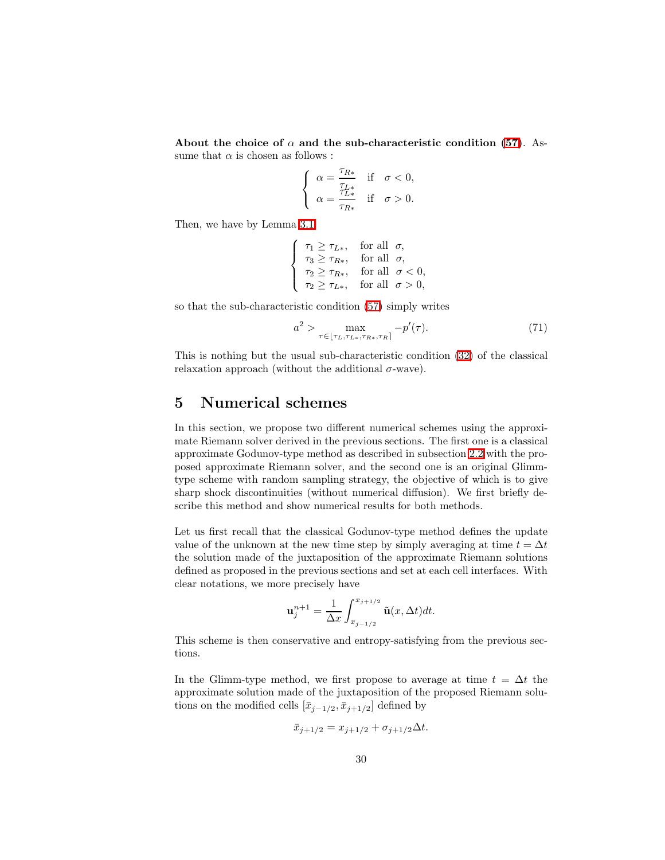About the choice of  $\alpha$  and the sub-characteristic condition [\(57\)](#page-21-0). Assume that  $\alpha$  is chosen as follows :

$$
\left\{ \begin{array}{ll} \alpha = \frac{\tau_{R*}}{\tau_{L*}} & \text{if} \quad \sigma < 0, \\ \alpha = \frac{\tau_{L*}}{\tau_{R*}} & \text{if} \quad \sigma > 0. \end{array} \right.
$$

Then, we have by Lemma [3.1](#page-17-1)

$$
\begin{cases}\n\tau_1 \geq \tau_{L*}, & \text{for all } \sigma, \\
\tau_3 \geq \tau_{R*}, & \text{for all } \sigma, \\
\tau_2 \geq \tau_{R*}, & \text{for all } \sigma < 0, \\
\tau_2 \geq \tau_{L*}, & \text{for all } \sigma > 0,\n\end{cases}
$$

so that the sub-characteristic condition [\(57\)](#page-21-0) simply writes

$$
a^2 > \max_{\tau \in [\tau_L, \tau_{L\ast}, \tau_R, \tau_R]} -p'(\tau). \tag{71}
$$

This is nothing but the usual sub-characteristic condition [\(32\)](#page-9-3) of the classical relaxation approach (without the additional  $\sigma$ -wave).

## <span id="page-29-0"></span>5 Numerical schemes

In this section, we propose two different numerical schemes using the approximate Riemann solver derived in the previous sections. The first one is a classical approximate Godunov-type method as described in subsection [2.2](#page-5-4) with the proposed approximate Riemann solver, and the second one is an original Glimmtype scheme with random sampling strategy, the objective of which is to give sharp shock discontinuities (without numerical diffusion). We first briefly describe this method and show numerical results for both methods.

Let us first recall that the classical Godunov-type method defines the update value of the unknown at the new time step by simply averaging at time  $t = \Delta t$ the solution made of the juxtaposition of the approximate Riemann solutions defined as proposed in the previous sections and set at each cell interfaces. With clear notations, we more precisely have

$$
\mathbf{u}_{j}^{n+1} = \frac{1}{\Delta x} \int_{x_{j-1/2}}^{x_{j+1/2}} \tilde{\mathbf{u}}(x, \Delta t) dt.
$$

This scheme is then conservative and entropy-satisfying from the previous sections.

In the Glimm-type method, we first propose to average at time  $t = \Delta t$  the approximate solution made of the juxtaposition of the proposed Riemann solutions on the modified cells  $[\bar{x}_{j-1/2}, \bar{x}_{j+1/2}]$  defined by

$$
\bar{x}_{j+1/2} = x_{j+1/2} + \sigma_{j+1/2} \Delta t.
$$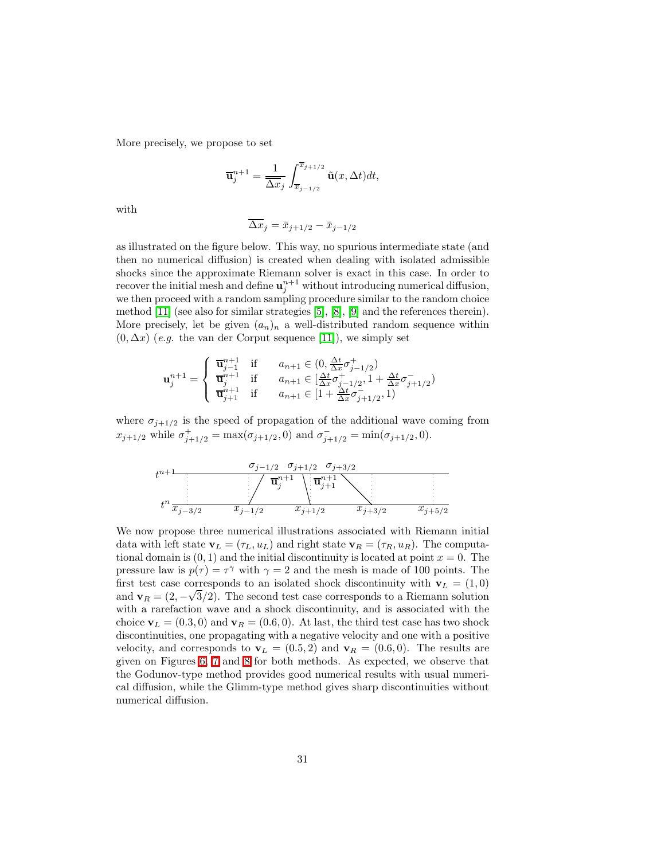More precisely, we propose to set

$$
\overline{\mathbf{u}}_{j}^{n+1} = \frac{1}{\overline{\Delta x}_{j}} \int_{\overline{x}_{j-1/2}}^{\overline{x}_{j+1/2}} \tilde{\mathbf{u}}(x, \Delta t) dt,
$$

with

$$
\overline{\Delta x}_j = \bar{x}_{j+1/2} - \bar{x}_{j-1/2}
$$

as illustrated on the figure below. This way, no spurious intermediate state (and then no numerical diffusion) is created when dealing with isolated admissible shocks since the approximate Riemann solver is exact in this case. In order to recover the initial mesh and define  $\mathbf{u}_{j}^{n+1}$  without introducing numerical diffusion, we then proceed with a random sampling procedure similar to the random choice method [\[11\]](#page-32-7) (see also for similar strategies [\[5\]](#page-32-8), [\[8\]](#page-32-9), [\[9\]](#page-32-10) and the references therein). More precisely, let be given  $(a_n)_n$  a well-distributed random sequence within  $(0, \Delta x)$  (*e.g.* the van der Corput sequence [\[11\]](#page-32-7)), we simply set

$$
\mathbf{u}_{j}^{n+1} = \begin{cases} \overline{\mathbf{u}}_{j-1}^{n+1} & \text{if } a_{n+1} \in (0, \frac{\Delta t}{\Delta x} \sigma_{j-1/2}^{+}) \\ \overline{\mathbf{u}}_{j}^{n+1} & \text{if } a_{n+1} \in [\frac{\Delta t}{\Delta x} \sigma_{j-1/2}^{+}, 1 + \frac{\Delta t}{\Delta x} \sigma_{j+1/2}^{-}) \\ \overline{\mathbf{u}}_{j+1}^{n+1} & \text{if } a_{n+1} \in [1 + \frac{\Delta t}{\Delta x} \sigma_{j+1/2}^{-}, 1) \end{cases}
$$

where  $\sigma_{j+1/2}$  is the speed of propagation of the additional wave coming from  $x_{j+1/2}$  while  $\sigma_{j+1/2}^+ = \max(\sigma_{j+1/2}, 0)$  and  $\sigma_{j+1/2}^- = \min(\sigma_{j+1/2}, 0)$ .



We now propose three numerical illustrations associated with Riemann initial data with left state  $\mathbf{v}_L = (\tau_L, u_L)$  and right state  $\mathbf{v}_R = (\tau_R, u_R)$ . The computational domain is  $(0, 1)$  and the initial discontinuity is located at point  $x = 0$ . The pressure law is  $p(\tau) = \tau^{\gamma}$  with  $\gamma = 2$  and the mesh is made of 100 points. The first test case corresponds to an isolated shock discontinuity with  $\mathbf{v}_L = (1, 0)$ and  $\mathbf{v}_R = (2, -\sqrt{3}/2)$ . The second test case corresponds to a Riemann solution with a rarefaction wave and a shock discontinuity, and is associated with the choice  $\mathbf{v}_L = (0.3, 0)$  and  $\mathbf{v}_R = (0.6, 0)$ . At last, the third test case has two shock discontinuities, one propagating with a negative velocity and one with a positive velocity, and corresponds to  $\mathbf{v}_L = (0.5, 2)$  and  $\mathbf{v}_R = (0.6, 0)$ . The results are given on Figures [6,](#page-31-0) [7](#page-31-1) and [8](#page-31-2) for both methods. As expected, we observe that the Godunov-type method provides good numerical results with usual numerical diffusion, while the Glimm-type method gives sharp discontinuities without numerical diffusion.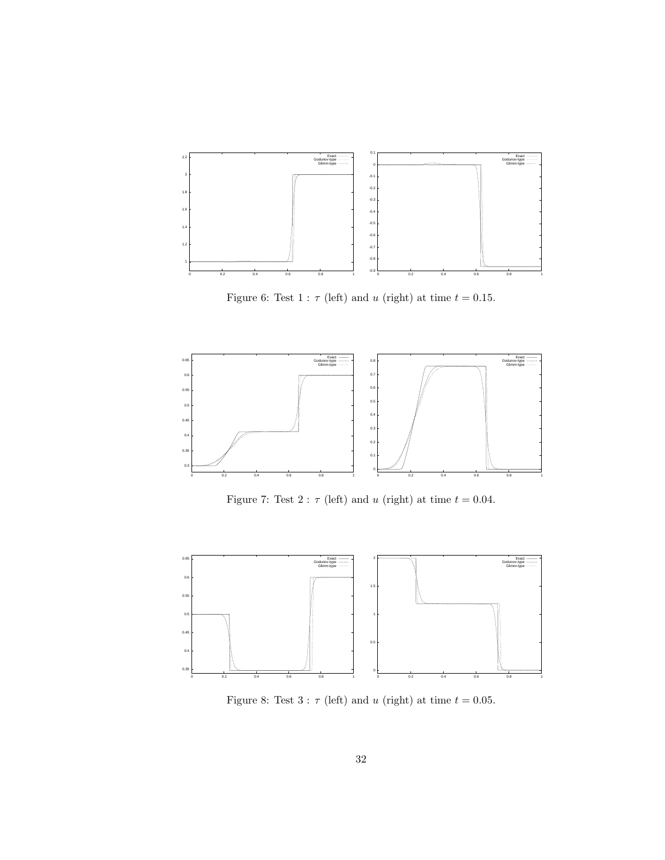

<span id="page-31-0"></span>Figure 6: Test 1 :  $\tau$  (left) and u (right) at time  $t = 0.15$ .



<span id="page-31-1"></span>Figure 7: Test 2 :  $\tau$  (left) and u (right) at time  $t = 0.04$ .



<span id="page-31-2"></span>Figure 8: Test  $3 : \tau$  (left) and u (right) at time  $t = 0.05$ .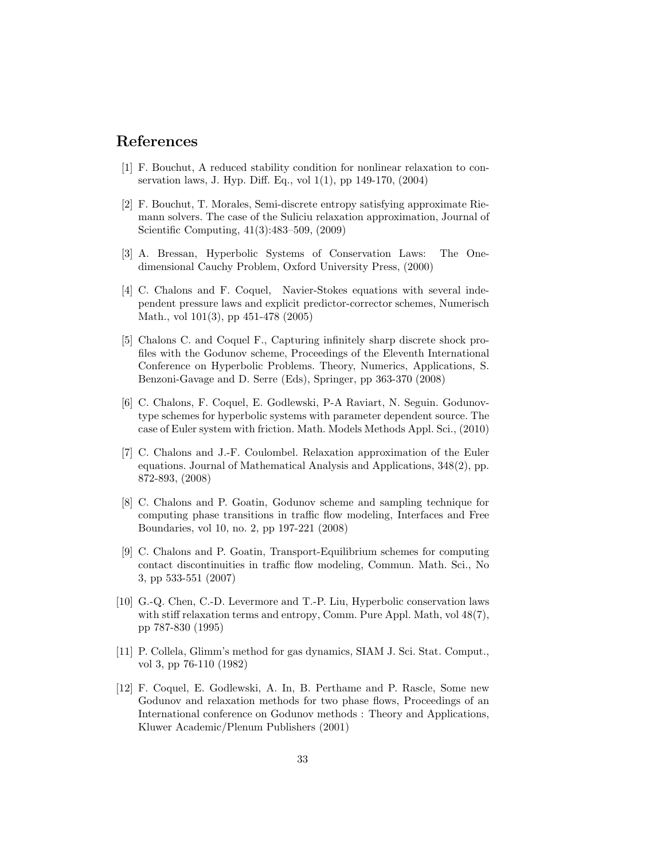### <span id="page-32-4"></span>References

- <span id="page-32-5"></span>[1] F. Bouchut, A reduced stability condition for nonlinear relaxation to conservation laws, J. Hyp. Diff. Eq., vol 1(1), pp 149-170, (2004)
- [2] F. Bouchut, T. Morales, Semi-discrete entropy satisfying approximate Riemann solvers. The case of the Suliciu relaxation approximation, Journal of Scientific Computing, 41(3):483–509, (2009)
- <span id="page-32-3"></span><span id="page-32-0"></span>[3] A. Bressan, Hyperbolic Systems of Conservation Laws: The Onedimensional Cauchy Problem, Oxford University Press, (2000)
- [4] C. Chalons and F. Coquel, Navier-Stokes equations with several independent pressure laws and explicit predictor-corrector schemes, Numerisch Math., vol 101(3), pp 451-478 (2005)
- <span id="page-32-8"></span>[5] Chalons C. and Coquel F., Capturing infinitely sharp discrete shock profiles with the Godunov scheme, Proceedings of the Eleventh International Conference on Hyperbolic Problems. Theory, Numerics, Applications, S. Benzoni-Gavage and D. Serre (Eds), Springer, pp 363-370 (2008)
- [6] C. Chalons, F. Coquel, E. Godlewski, P-A Raviart, N. Seguin. Godunovtype schemes for hyperbolic systems with parameter dependent source. The case of Euler system with friction. Math. Models Methods Appl. Sci., (2010)
- <span id="page-32-6"></span>[7] C. Chalons and J.-F. Coulombel. Relaxation approximation of the Euler equations. Journal of Mathematical Analysis and Applications, 348(2), pp. 872-893, (2008)
- <span id="page-32-9"></span>[8] C. Chalons and P. Goatin, Godunov scheme and sampling technique for computing phase transitions in traffic flow modeling, Interfaces and Free Boundaries, vol 10, no. 2, pp 197-221 (2008)
- <span id="page-32-10"></span>[9] C. Chalons and P. Goatin, Transport-Equilibrium schemes for computing contact discontinuities in traffic flow modeling, Commun. Math. Sci., No 3, pp 533-551 (2007)
- <span id="page-32-1"></span>[10] G.-Q. Chen, C.-D. Levermore and T.-P. Liu, Hyperbolic conservation laws with stiff relaxation terms and entropy, Comm. Pure Appl. Math, vol 48(7), pp 787-830 (1995)
- <span id="page-32-7"></span>[11] P. Collela, Glimm's method for gas dynamics, SIAM J. Sci. Stat. Comput., vol 3, pp 76-110 (1982)
- <span id="page-32-2"></span>[12] F. Coquel, E. Godlewski, A. In, B. Perthame and P. Rascle, Some new Godunov and relaxation methods for two phase flows, Proceedings of an International conference on Godunov methods : Theory and Applications, Kluwer Academic/Plenum Publishers (2001)